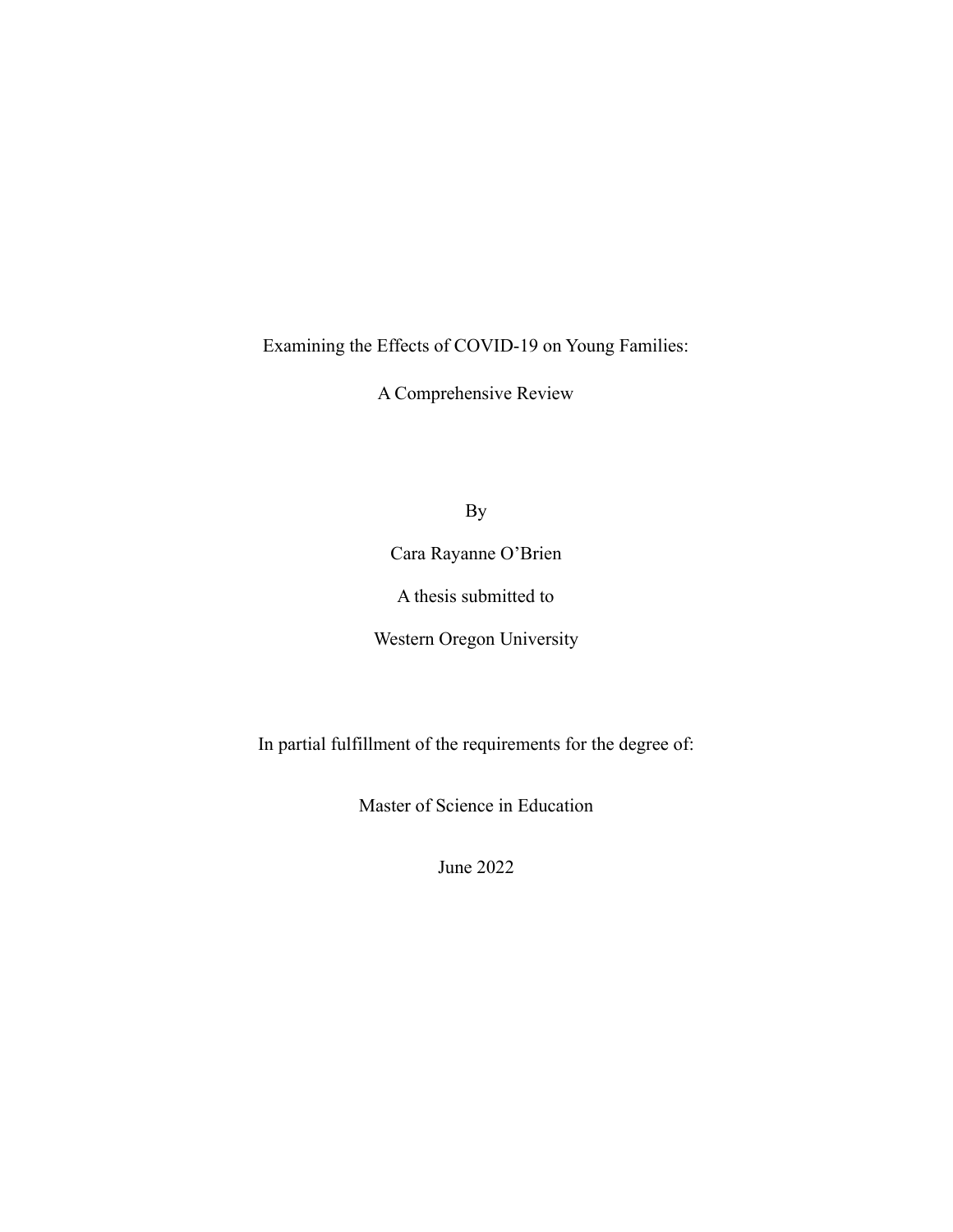Examining the Effects of COVID-19 on Young Families:

A Comprehensive Review

By

Cara Rayanne O'Brien

A thesis submitted to

Western Oregon University

In partial fulfillment of the requirements for the degree of:

Master of Science in Education

June 2022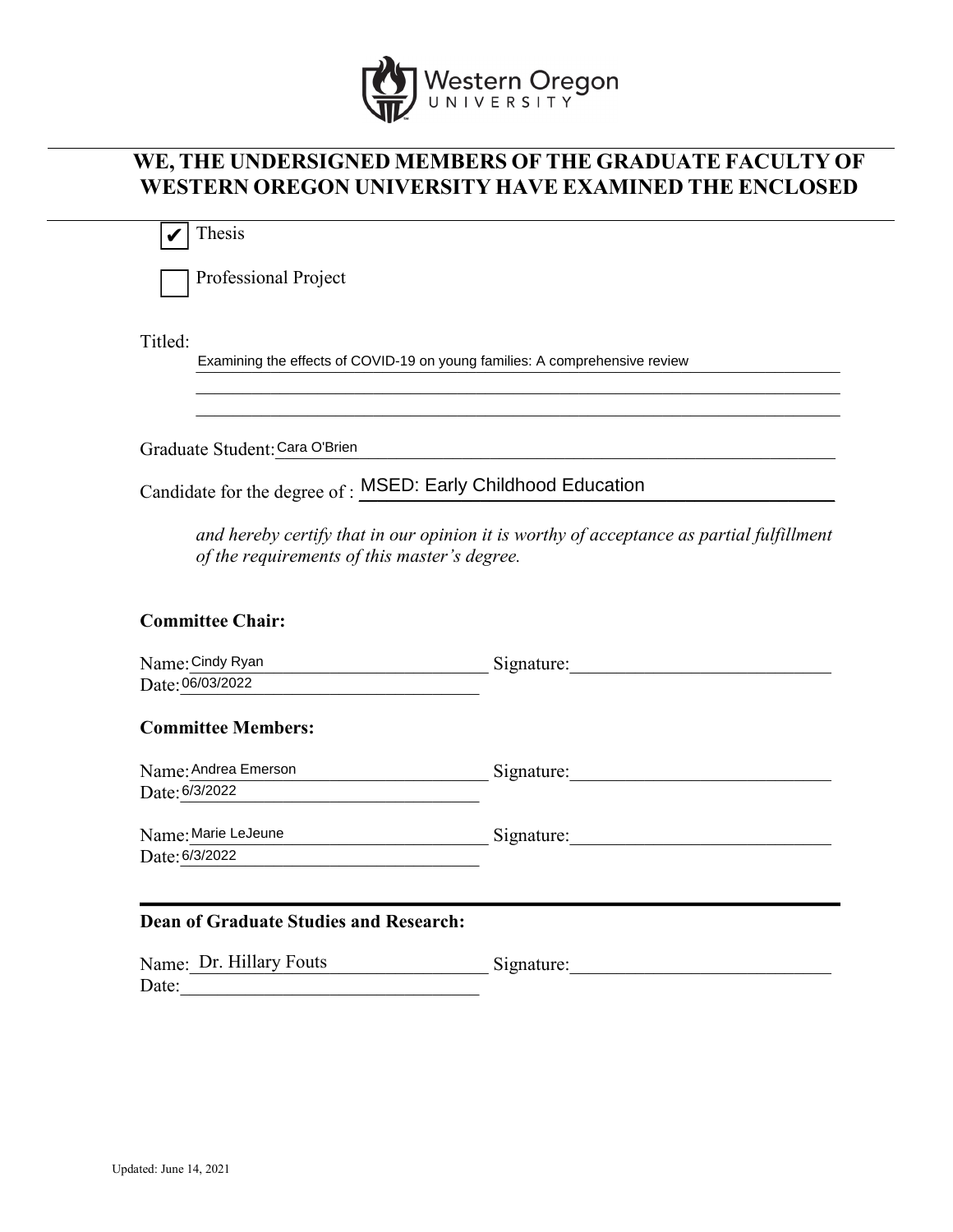

# **WE, THE UNDERSIGNED MEMBERS OF THE GRADUATE FACULTY OF WESTERN OREGON UNIVERSITY HAVE EXAMINED THE ENCLOSED**

 Thesis ✔

Professional Project

Titled:

Examining the effects of COVID-19 on young families: A comprehensive review

Graduate Student: Cara O'Brien

Candidate for the degree of : MSED: Early Childhood Education

*and hereby certify that in our opinion it is worthy of acceptance as partial fulfillment of the requirements of this master's degree.* 

\_\_\_\_\_\_\_\_\_\_\_\_\_\_\_\_\_\_\_\_\_\_\_\_\_\_\_\_\_\_\_\_\_\_\_\_\_\_\_\_\_\_\_\_\_\_\_\_\_\_\_\_\_\_\_\_\_\_\_\_\_\_\_\_\_\_\_\_\_ \_\_\_\_\_\_\_\_\_\_\_\_\_\_\_\_\_\_\_\_\_\_\_\_\_\_\_\_\_\_\_\_\_\_\_\_\_\_\_\_\_\_\_\_\_\_\_\_\_\_\_\_\_\_\_\_\_\_\_\_\_\_\_\_\_\_\_\_\_

## **Committee Chair:**

| Name: Cindy Ryan                              | Signature: |
|-----------------------------------------------|------------|
| Date: 06/03/2022                              |            |
| <b>Committee Members:</b>                     |            |
| Name: Andrea Emerson                          | Signature: |
| Date: 6/3/2022                                |            |
| Name: Marie LeJeune                           | Signature: |
| Date: 6/3/2022                                |            |
|                                               |            |
| <b>Dean of Graduate Studies and Research:</b> |            |

| Name: Dr. Hillary Fouts | Signature: |
|-------------------------|------------|
| Date:                   |            |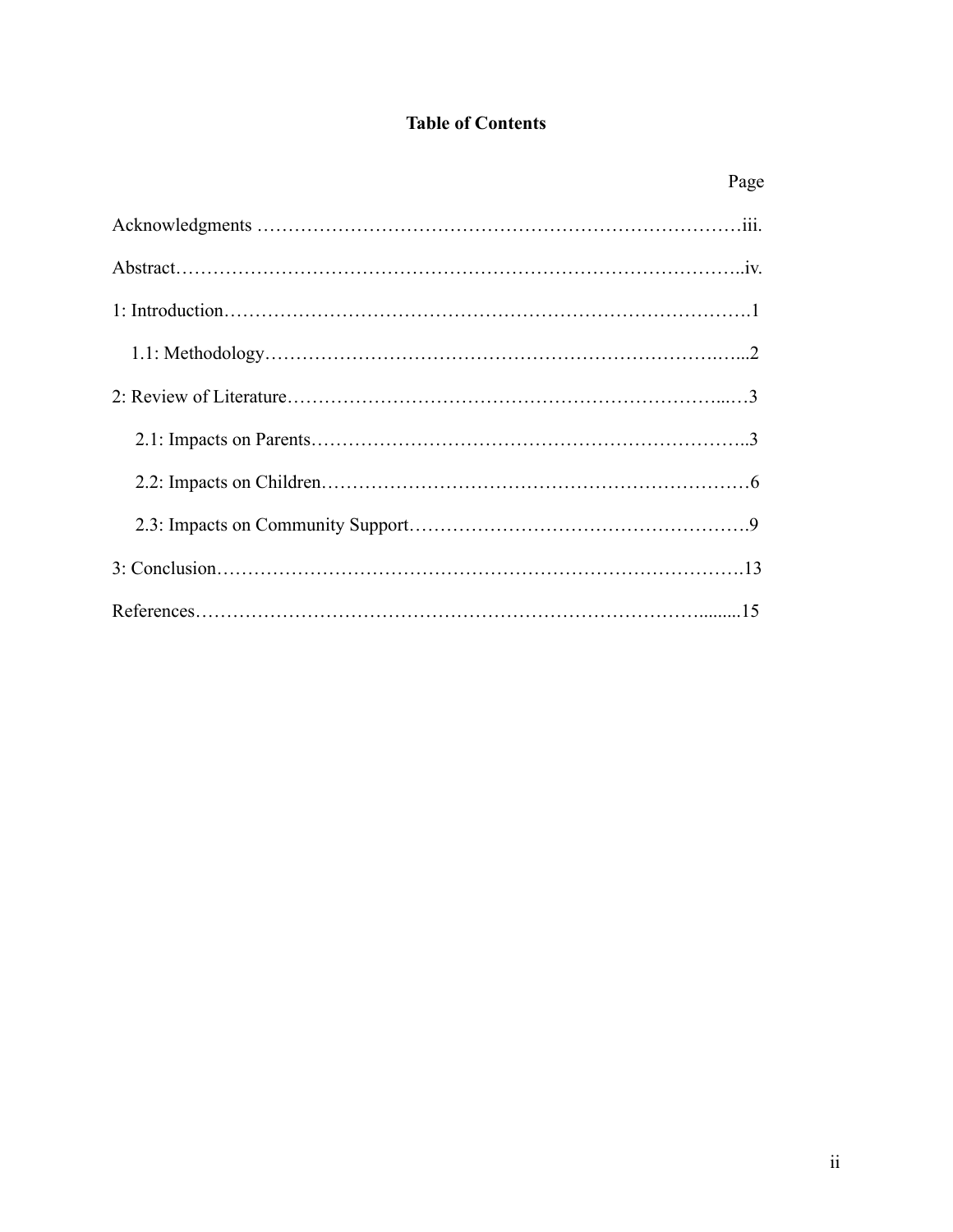## **Table of Contents**

| Page |
|------|
|      |
|      |
|      |
|      |
|      |
|      |
|      |
|      |
|      |
|      |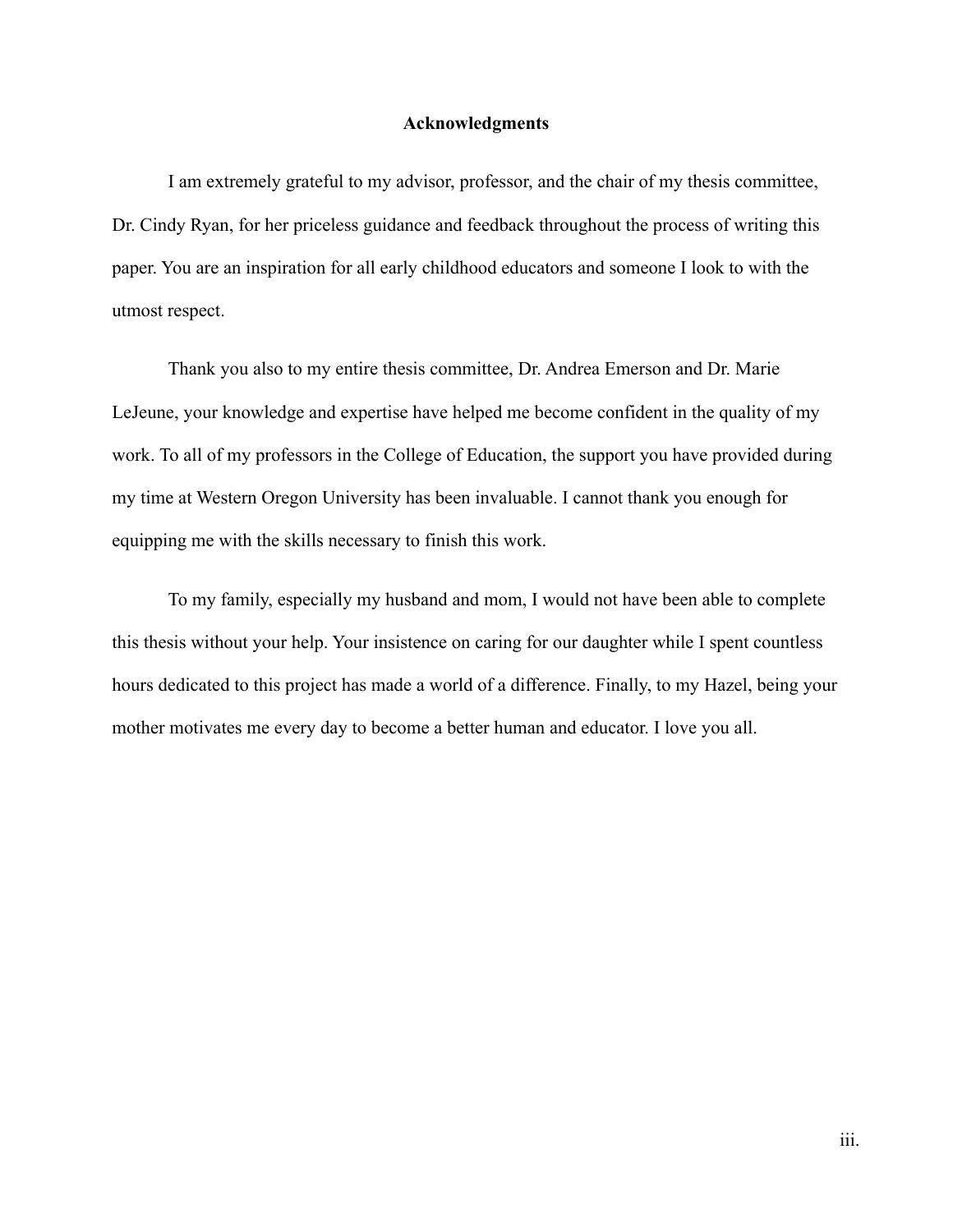#### **Acknowledgments**

I am extremely grateful to my advisor, professor, and the chair of my thesis committee, Dr. Cindy Ryan, for her priceless guidance and feedback throughout the process of writing this paper. You are an inspiration for all early childhood educators and someone I look to with the utmost respect.

Thank you also to my entire thesis committee, Dr. Andrea Emerson and Dr. Marie LeJeune, your knowledge and expertise have helped me become confident in the quality of my work. To all of my professors in the College of Education, the support you have provided during my time at Western Oregon University has been invaluable. I cannot thank you enough for equipping me with the skills necessary to finish this work.

To my family, especially my husband and mom, I would not have been able to complete this thesis without your help. Your insistence on caring for our daughter while I spent countless hours dedicated to this project has made a world of a difference. Finally, to my Hazel, being your mother motivates me every day to become a better human and educator. I love you all.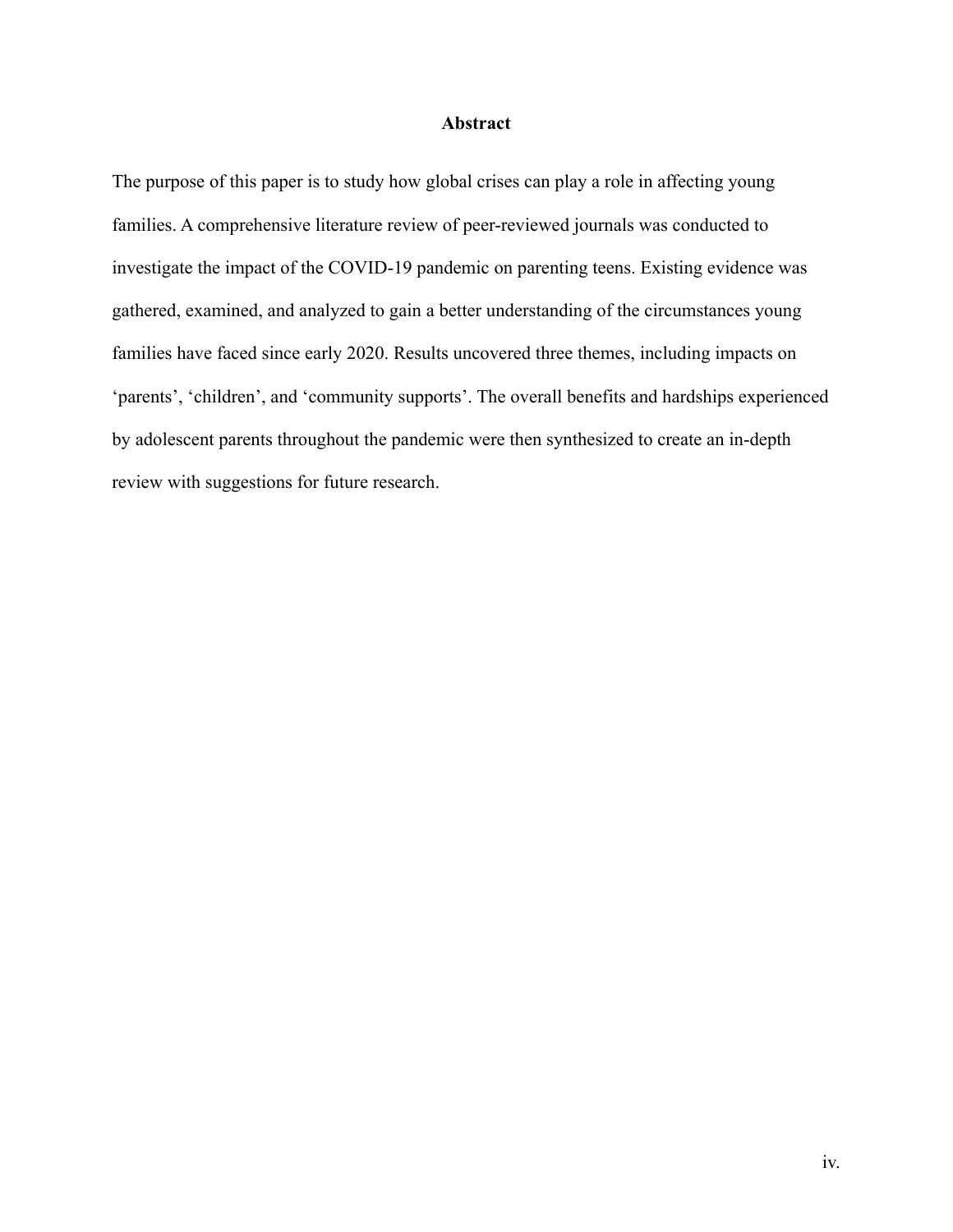## **Abstract**

The purpose of this paper is to study how global crises can play a role in affecting young families. A comprehensive literature review of peer-reviewed journals was conducted to investigate the impact of the COVID-19 pandemic on parenting teens. Existing evidence was gathered, examined, and analyzed to gain a better understanding of the circumstances young families have faced since early 2020. Results uncovered three themes, including impacts on 'parents', 'children', and 'community supports'. The overall benefits and hardships experienced by adolescent parents throughout the pandemic were then synthesized to create an in-depth review with suggestions for future research.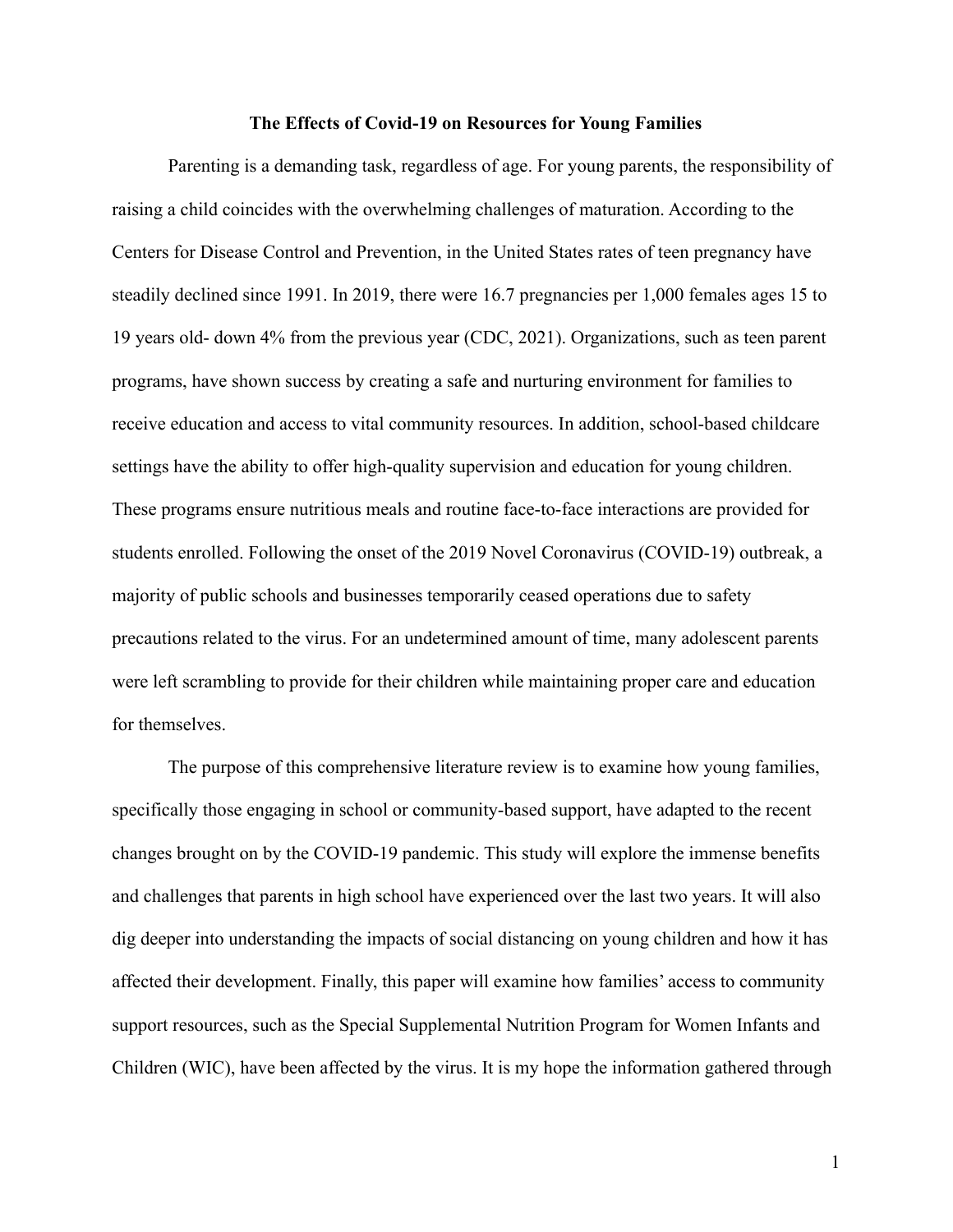#### **The Effects of Covid-19 on Resources for Young Families**

Parenting is a demanding task, regardless of age. For young parents, the responsibility of raising a child coincides with the overwhelming challenges of maturation. According to the Centers for Disease Control and Prevention, in the United States rates of teen pregnancy have steadily declined since 1991. In 2019, there were 16.7 pregnancies per 1,000 females ages 15 to 19 years old- down 4% from the previous year (CDC, 2021). Organizations, such as teen parent programs, have shown success by creating a safe and nurturing environment for families to receive education and access to vital community resources. In addition, school-based childcare settings have the ability to offer high-quality supervision and education for young children. These programs ensure nutritious meals and routine face-to-face interactions are provided for students enrolled. Following the onset of the 2019 Novel Coronavirus (COVID-19) outbreak, a majority of public schools and businesses temporarily ceased operations due to safety precautions related to the virus. For an undetermined amount of time, many adolescent parents were left scrambling to provide for their children while maintaining proper care and education for themselves.

The purpose of this comprehensive literature review is to examine how young families, specifically those engaging in school or community-based support, have adapted to the recent changes brought on by the COVID-19 pandemic. This study will explore the immense benefits and challenges that parents in high school have experienced over the last two years. It will also dig deeper into understanding the impacts of social distancing on young children and how it has affected their development. Finally, this paper will examine how families' access to community support resources, such as the Special Supplemental Nutrition Program for Women Infants and Children (WIC), have been affected by the virus. It is my hope the information gathered through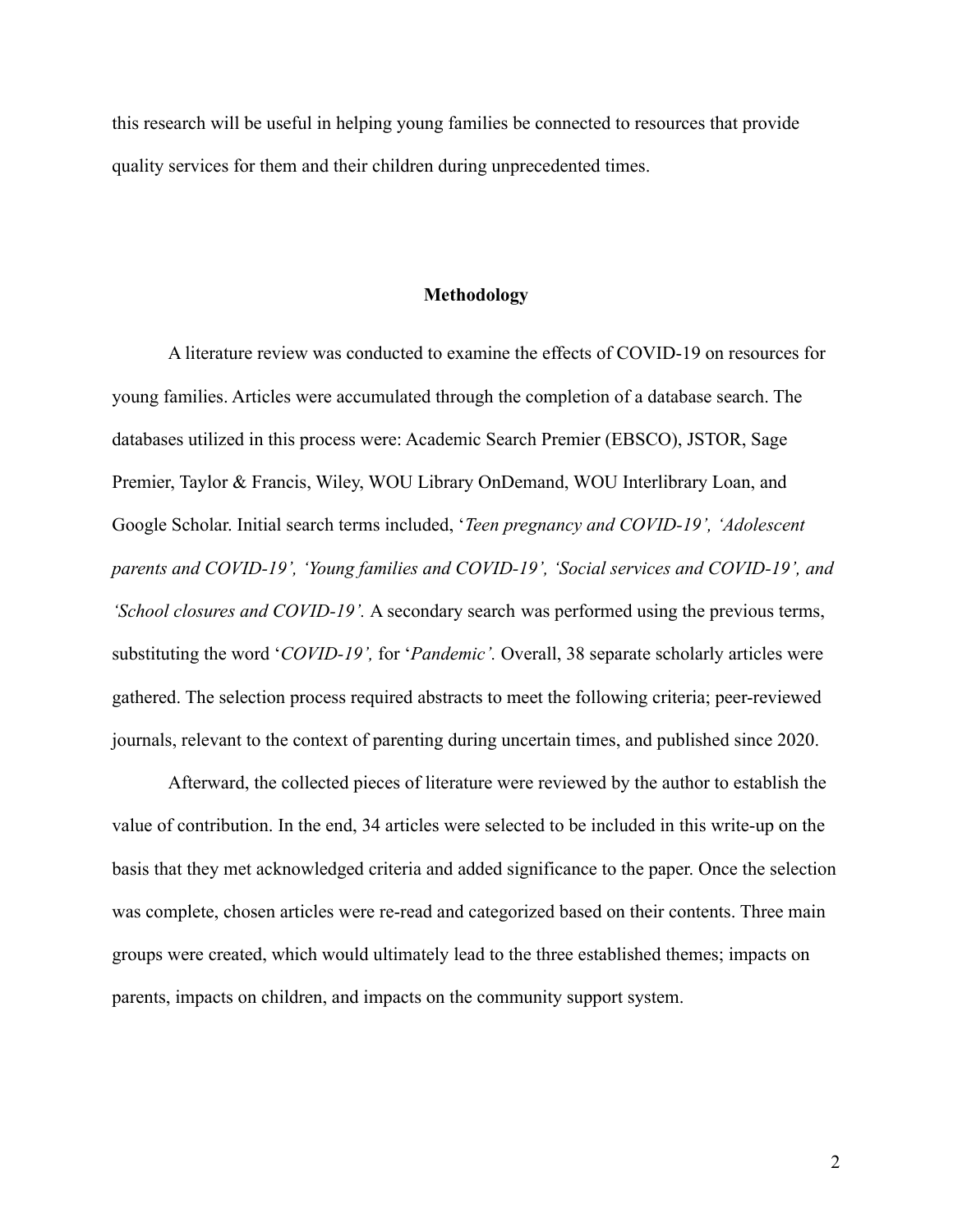this research will be useful in helping young families be connected to resources that provide quality services for them and their children during unprecedented times.

#### **Methodology**

A literature review was conducted to examine the effects of COVID-19 on resources for young families. Articles were accumulated through the completion of a database search. The databases utilized in this process were: Academic Search Premier (EBSCO), JSTOR, Sage Premier, Taylor & Francis, Wiley, WOU Library OnDemand, WOU Interlibrary Loan, and Google Scholar. Initial search terms included, '*Teen pregnancy and COVID-19', 'Adolescent parents and COVID-19', 'Young families and COVID-19', 'Social services and COVID-19', and 'School closures and COVID-19'.* A secondary search was performed using the previous terms, substituting the word '*COVID-19',* for '*Pandemic'.* Overall, 38 separate scholarly articles were gathered. The selection process required abstracts to meet the following criteria; peer-reviewed journals, relevant to the context of parenting during uncertain times, and published since 2020.

Afterward, the collected pieces of literature were reviewed by the author to establish the value of contribution. In the end, 34 articles were selected to be included in this write-up on the basis that they met acknowledged criteria and added significance to the paper. Once the selection was complete, chosen articles were re-read and categorized based on their contents. Three main groups were created, which would ultimately lead to the three established themes; impacts on parents, impacts on children, and impacts on the community support system.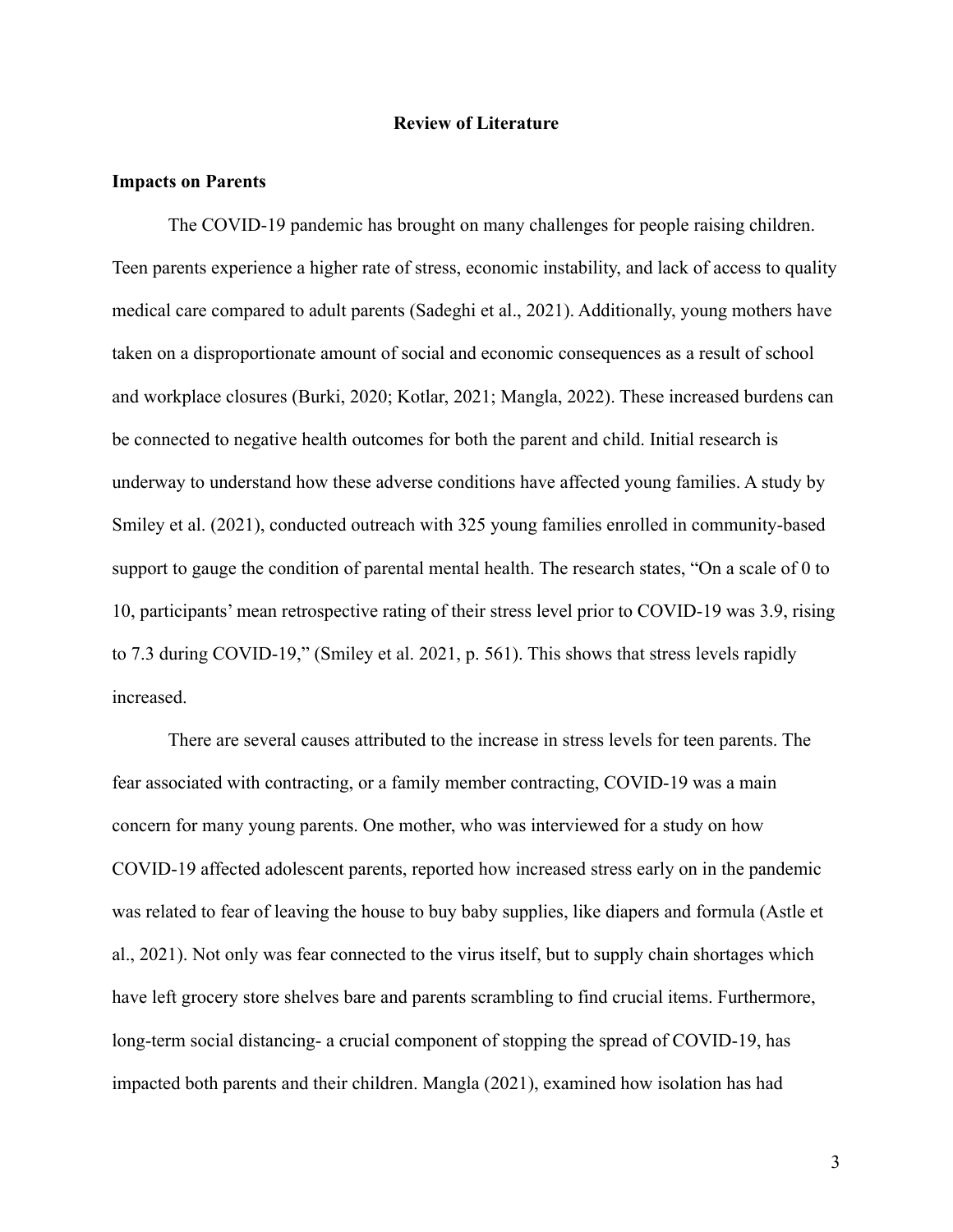#### **Review of Literature**

#### **Impacts on Parents**

The COVID-19 pandemic has brought on many challenges for people raising children. Teen parents experience a higher rate of stress, economic instability, and lack of access to quality medical care compared to adult parents (Sadeghi et al., 2021). Additionally, young mothers have taken on a disproportionate amount of social and economic consequences as a result of school and workplace closures (Burki, 2020; Kotlar, 2021; Mangla, 2022). These increased burdens can be connected to negative health outcomes for both the parent and child. Initial research is underway to understand how these adverse conditions have affected young families. A study by Smiley et al. (2021), conducted outreach with 325 young families enrolled in community-based support to gauge the condition of parental mental health. The research states, "On a scale of 0 to 10, participants' mean retrospective rating of their stress level prior to COVID-19 was 3.9, rising to 7.3 during COVID-19," (Smiley et al. 2021, p. 561). This shows that stress levels rapidly increased.

There are several causes attributed to the increase in stress levels for teen parents. The fear associated with contracting, or a family member contracting, COVID-19 was a main concern for many young parents. One mother, who was interviewed for a study on how COVID-19 affected adolescent parents, reported how increased stress early on in the pandemic was related to fear of leaving the house to buy baby supplies, like diapers and formula (Astle et al., 2021). Not only was fear connected to the virus itself, but to supply chain shortages which have left grocery store shelves bare and parents scrambling to find crucial items. Furthermore, long-term social distancing- a crucial component of stopping the spread of COVID-19, has impacted both parents and their children. Mangla (2021), examined how isolation has had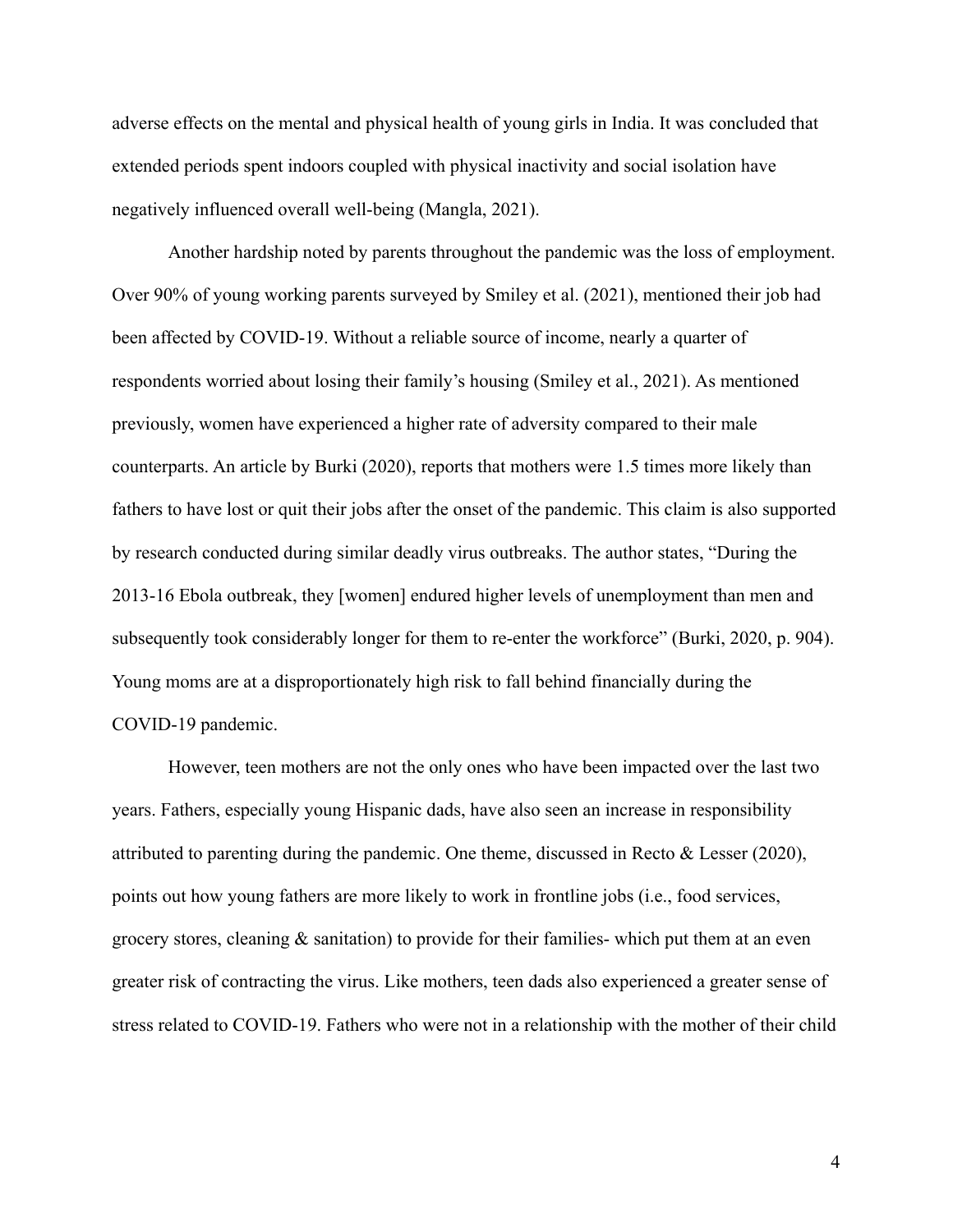adverse effects on the mental and physical health of young girls in India. It was concluded that extended periods spent indoors coupled with physical inactivity and social isolation have negatively influenced overall well-being (Mangla, 2021).

Another hardship noted by parents throughout the pandemic was the loss of employment. Over 90% of young working parents surveyed by Smiley et al. (2021), mentioned their job had been affected by COVID-19. Without a reliable source of income, nearly a quarter of respondents worried about losing their family's housing (Smiley et al., 2021). As mentioned previously, women have experienced a higher rate of adversity compared to their male counterparts. An article by Burki (2020), reports that mothers were 1.5 times more likely than fathers to have lost or quit their jobs after the onset of the pandemic. This claim is also supported by research conducted during similar deadly virus outbreaks. The author states, "During the 2013-16 Ebola outbreak, they [women] endured higher levels of unemployment than men and subsequently took considerably longer for them to re-enter the workforce" (Burki, 2020, p. 904). Young moms are at a disproportionately high risk to fall behind financially during the COVID-19 pandemic.

However, teen mothers are not the only ones who have been impacted over the last two years. Fathers, especially young Hispanic dads, have also seen an increase in responsibility attributed to parenting during the pandemic. One theme, discussed in Recto & Lesser (2020), points out how young fathers are more likely to work in frontline jobs (i.e., food services, grocery stores, cleaning  $\&$  sanitation) to provide for their families- which put them at an even greater risk of contracting the virus. Like mothers, teen dads also experienced a greater sense of stress related to COVID-19. Fathers who were not in a relationship with the mother of their child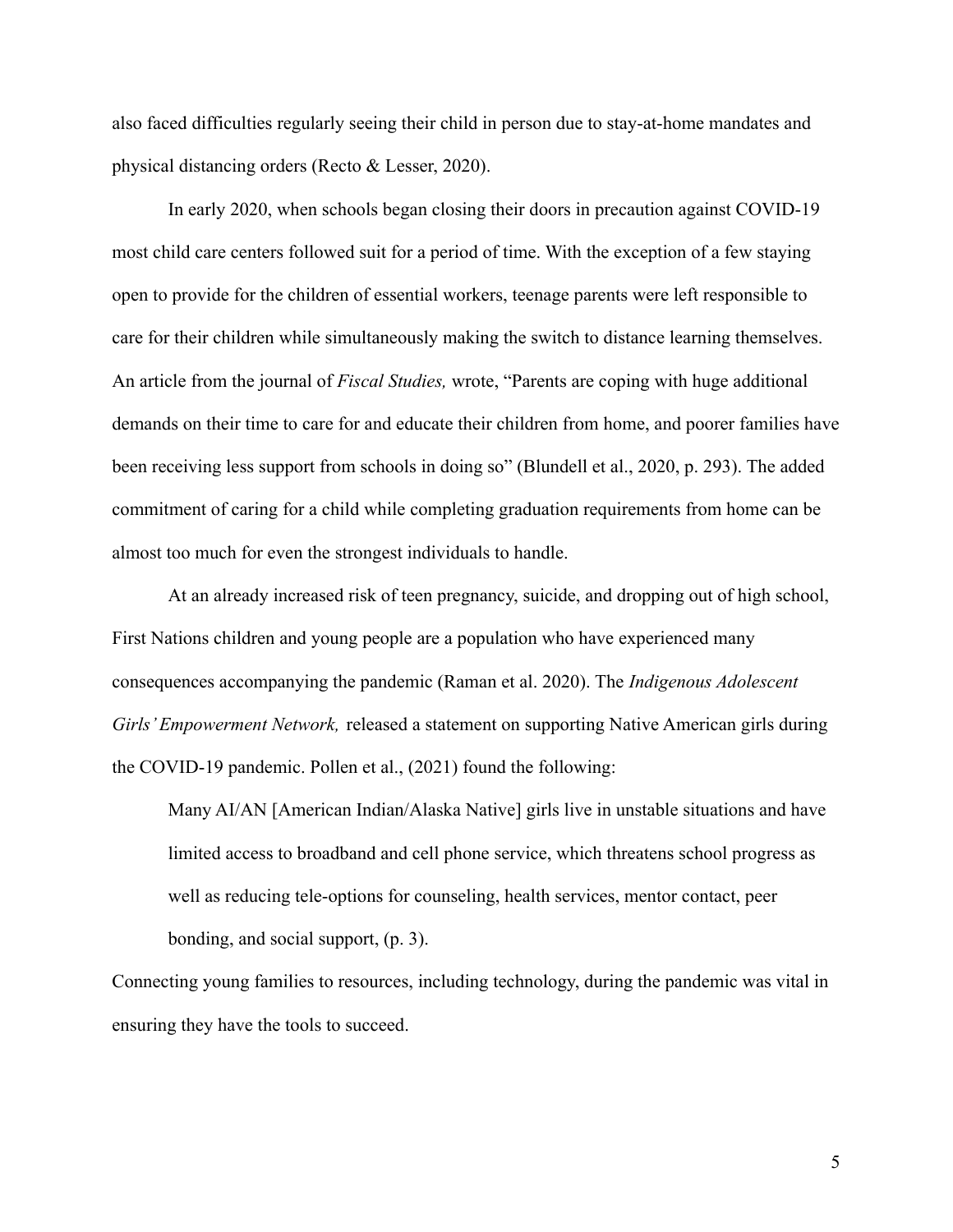also faced difficulties regularly seeing their child in person due to stay-at-home mandates and physical distancing orders (Recto & Lesser, 2020).

In early 2020, when schools began closing their doors in precaution against COVID-19 most child care centers followed suit for a period of time. With the exception of a few staying open to provide for the children of essential workers, teenage parents were left responsible to care for their children while simultaneously making the switch to distance learning themselves. An article from the journal of *Fiscal Studies,* wrote, "Parents are coping with huge additional demands on their time to care for and educate their children from home, and poorer families have been receiving less support from schools in doing so" (Blundell et al., 2020, p. 293). The added commitment of caring for a child while completing graduation requirements from home can be almost too much for even the strongest individuals to handle.

At an already increased risk of teen pregnancy, suicide, and dropping out of high school, First Nations children and young people are a population who have experienced many consequences accompanying the pandemic (Raman et al. 2020). The *Indigenous Adolescent Girls' Empowerment Network,* released a statement on supporting Native American girls during the COVID-19 pandemic. Pollen et al., (2021) found the following:

Many AI/AN [American Indian/Alaska Native] girls live in unstable situations and have limited access to broadband and cell phone service, which threatens school progress as well as reducing tele-options for counseling, health services, mentor contact, peer bonding, and social support, (p. 3).

Connecting young families to resources, including technology, during the pandemic was vital in ensuring they have the tools to succeed.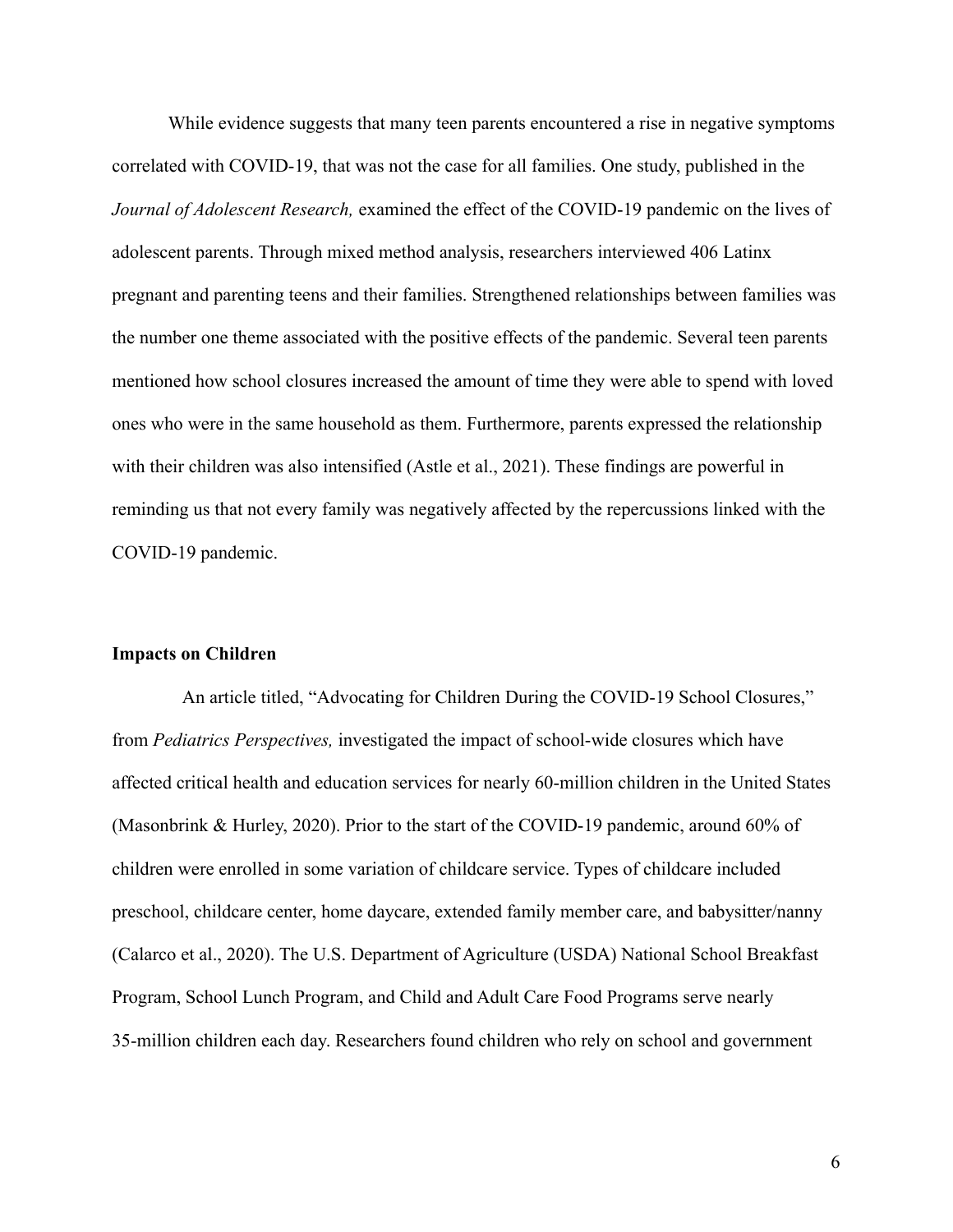While evidence suggests that many teen parents encountered a rise in negative symptoms correlated with COVID-19, that was not the case for all families. One study, published in the *Journal of Adolescent Research,* examined the effect of the COVID-19 pandemic on the lives of adolescent parents. Through mixed method analysis, researchers interviewed 406 Latinx pregnant and parenting teens and their families. Strengthened relationships between families was the number one theme associated with the positive effects of the pandemic. Several teen parents mentioned how school closures increased the amount of time they were able to spend with loved ones who were in the same household as them. Furthermore, parents expressed the relationship with their children was also intensified (Astle et al., 2021). These findings are powerful in reminding us that not every family was negatively affected by the repercussions linked with the COVID-19 pandemic.

#### **Impacts on Children**

An article titled, "Advocating for Children During the COVID-19 School Closures," from *Pediatrics Perspectives,* investigated the impact of school-wide closures which have affected critical health and education services for nearly 60-million children in the United States (Masonbrink & Hurley, 2020). Prior to the start of the COVID-19 pandemic, around 60% of children were enrolled in some variation of childcare service. Types of childcare included preschool, childcare center, home daycare, extended family member care, and babysitter/nanny (Calarco et al., 2020). The U.S. Department of Agriculture (USDA) National School Breakfast Program, School Lunch Program, and Child and Adult Care Food Programs serve nearly 35-million children each day. Researchers found children who rely on school and government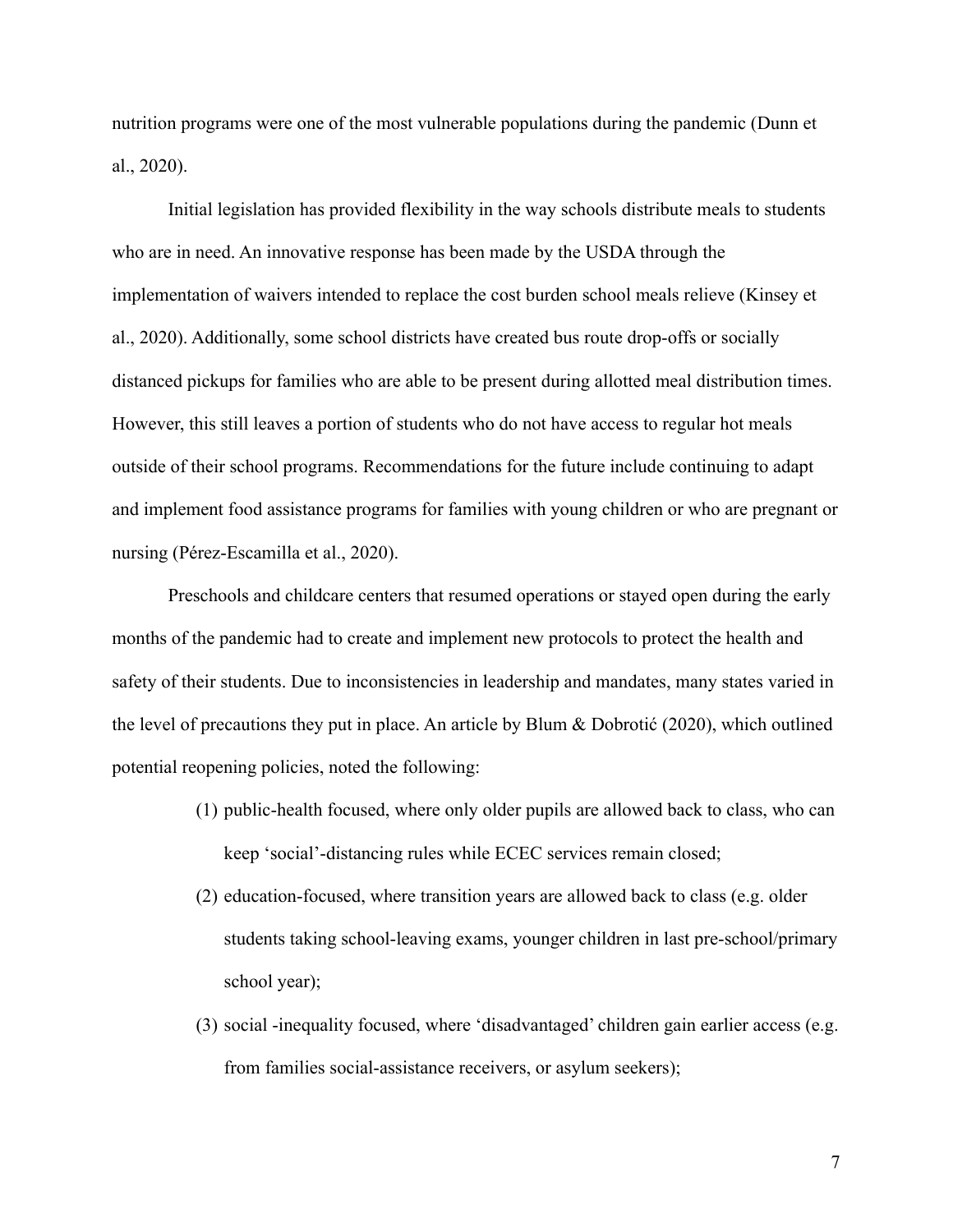nutrition programs were one of the most vulnerable populations during the pandemic (Dunn et al., 2020).

Initial legislation has provided flexibility in the way schools distribute meals to students who are in need. An innovative response has been made by the USDA through the implementation of waivers intended to replace the cost burden school meals relieve (Kinsey et al., 2020). Additionally, some school districts have created bus route drop-offs or socially distanced pickups for families who are able to be present during allotted meal distribution times. However, this still leaves a portion of students who do not have access to regular hot meals outside of their school programs. Recommendations for the future include continuing to adapt and implement food assistance programs for families with young children or who are pregnant or nursing (Pérez-Escamilla et al., 2020).

Preschools and childcare centers that resumed operations or stayed open during the early months of the pandemic had to create and implement new protocols to protect the health and safety of their students. Due to inconsistencies in leadership and mandates, many states varied in the level of precautions they put in place. An article by Blum & Dobrotić (2020), which outlined potential reopening policies, noted the following:

- (1) public-health focused, where only older pupils are allowed back to class, who can keep 'social'-distancing rules while ECEC services remain closed;
- (2) education-focused, where transition years are allowed back to class (e.g. older students taking school-leaving exams, younger children in last pre-school/primary school year);
- (3) social -inequality focused, where 'disadvantaged' children gain earlier access (e.g. from families social-assistance receivers, or asylum seekers);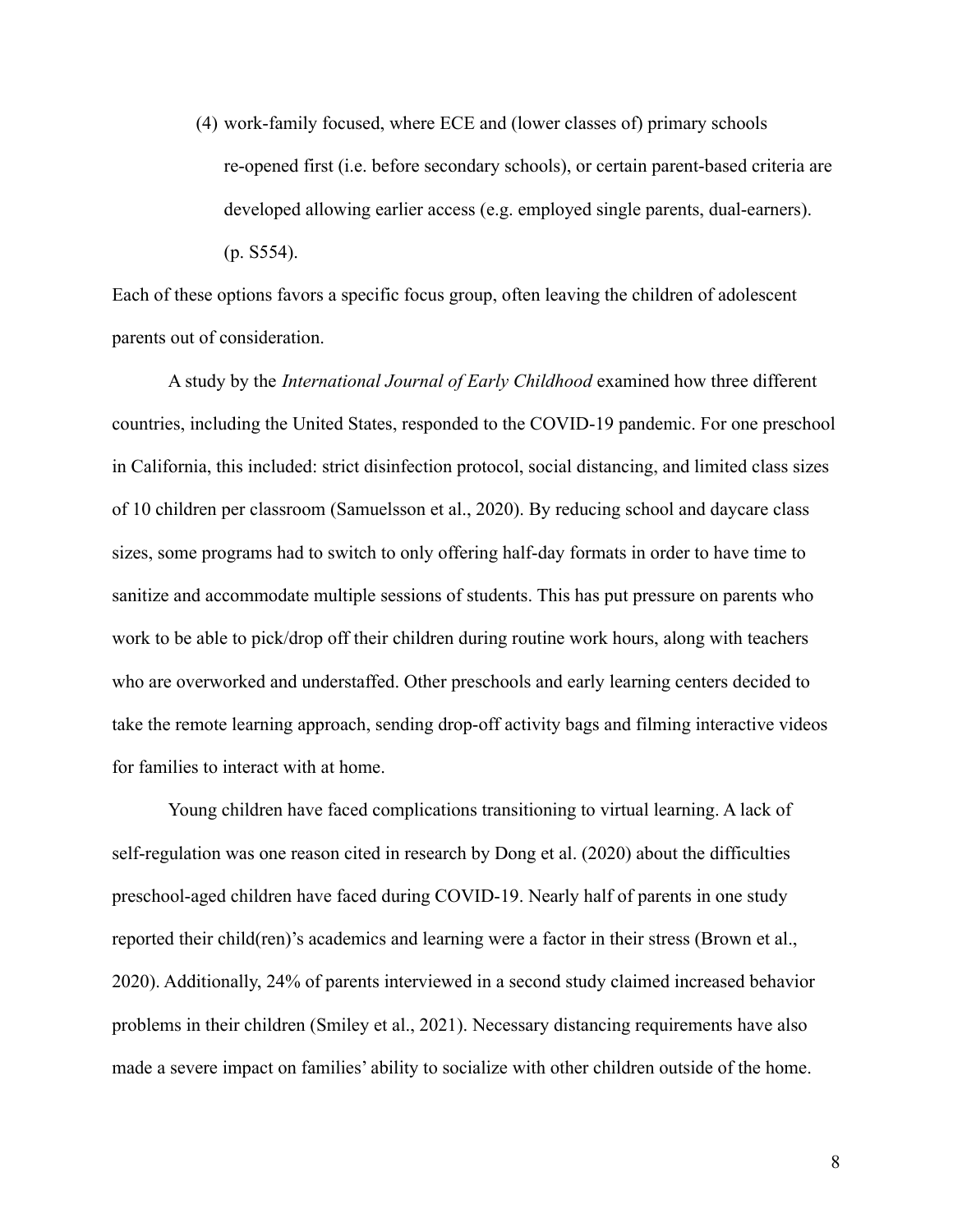(4) work-family focused, where ECE and (lower classes of) primary schools re-opened first (i.e. before secondary schools), or certain parent-based criteria are developed allowing earlier access (e.g. employed single parents, dual-earners). (p. S554).

Each of these options favors a specific focus group, often leaving the children of adolescent parents out of consideration.

A study by the *International Journal of Early Childhood* examined how three different countries, including the United States, responded to the COVID-19 pandemic. For one preschool in California, this included: strict disinfection protocol, social distancing, and limited class sizes of 10 children per classroom (Samuelsson et al., 2020). By reducing school and daycare class sizes, some programs had to switch to only offering half-day formats in order to have time to sanitize and accommodate multiple sessions of students. This has put pressure on parents who work to be able to pick/drop off their children during routine work hours, along with teachers who are overworked and understaffed. Other preschools and early learning centers decided to take the remote learning approach, sending drop-off activity bags and filming interactive videos for families to interact with at home.

Young children have faced complications transitioning to virtual learning. A lack of self-regulation was one reason cited in research by Dong et al. (2020) about the difficulties preschool-aged children have faced during COVID-19. Nearly half of parents in one study reported their child(ren)'s academics and learning were a factor in their stress (Brown et al., 2020). Additionally, 24% of parents interviewed in a second study claimed increased behavior problems in their children (Smiley et al., 2021). Necessary distancing requirements have also made a severe impact on families' ability to socialize with other children outside of the home.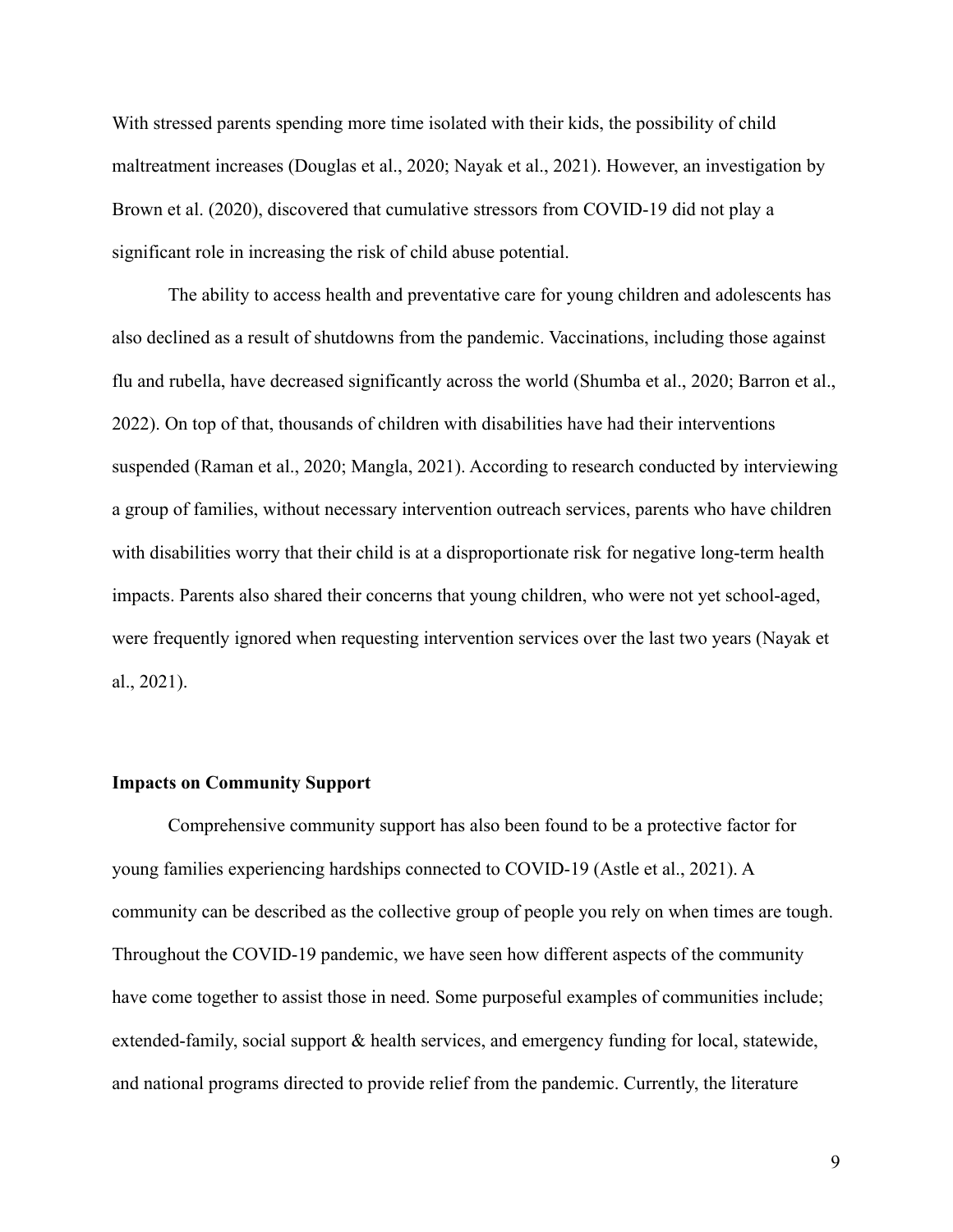With stressed parents spending more time isolated with their kids, the possibility of child maltreatment increases (Douglas et al., 2020; Nayak et al., 2021). However, an investigation by Brown et al. (2020), discovered that cumulative stressors from COVID-19 did not play a significant role in increasing the risk of child abuse potential.

The ability to access health and preventative care for young children and adolescents has also declined as a result of shutdowns from the pandemic. Vaccinations, including those against flu and rubella, have decreased significantly across the world (Shumba et al., 2020; Barron et al., 2022). On top of that, thousands of children with disabilities have had their interventions suspended (Raman et al., 2020; Mangla, 2021). According to research conducted by interviewing a group of families, without necessary intervention outreach services, parents who have children with disabilities worry that their child is at a disproportionate risk for negative long-term health impacts. Parents also shared their concerns that young children, who were not yet school-aged, were frequently ignored when requesting intervention services over the last two years (Nayak et al., 2021).

#### **Impacts on Community Support**

Comprehensive community support has also been found to be a protective factor for young families experiencing hardships connected to COVID-19 (Astle et al., 2021). A community can be described as the collective group of people you rely on when times are tough. Throughout the COVID-19 pandemic, we have seen how different aspects of the community have come together to assist those in need. Some purposeful examples of communities include; extended-family, social support & health services, and emergency funding for local, statewide, and national programs directed to provide relief from the pandemic. Currently, the literature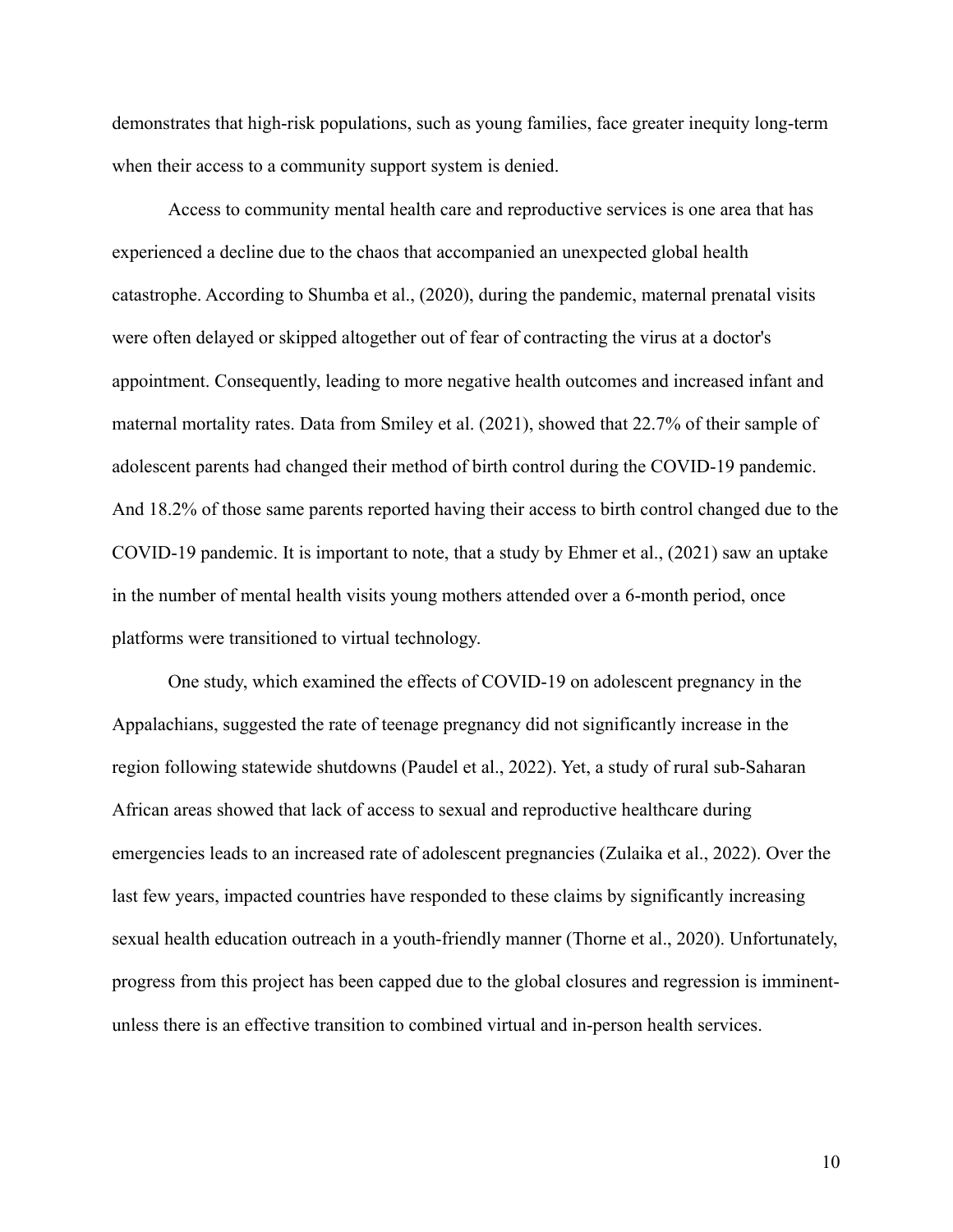demonstrates that high-risk populations, such as young families, face greater inequity long-term when their access to a community support system is denied.

Access to community mental health care and reproductive services is one area that has experienced a decline due to the chaos that accompanied an unexpected global health catastrophe. According to Shumba et al., (2020), during the pandemic, maternal prenatal visits were often delayed or skipped altogether out of fear of contracting the virus at a doctor's appointment. Consequently, leading to more negative health outcomes and increased infant and maternal mortality rates. Data from Smiley et al. (2021), showed that 22.7% of their sample of adolescent parents had changed their method of birth control during the COVID-19 pandemic. And 18.2% of those same parents reported having their access to birth control changed due to the COVID-19 pandemic. It is important to note, that a study by Ehmer et al., (2021) saw an uptake in the number of mental health visits young mothers attended over a 6-month period, once platforms were transitioned to virtual technology.

One study, which examined the effects of COVID-19 on adolescent pregnancy in the Appalachians, suggested the rate of teenage pregnancy did not significantly increase in the region following statewide shutdowns (Paudel et al., 2022). Yet, a study of rural sub-Saharan African areas showed that lack of access to sexual and reproductive healthcare during emergencies leads to an increased rate of adolescent pregnancies (Zulaika et al., 2022). Over the last few years, impacted countries have responded to these claims by significantly increasing sexual health education outreach in a youth-friendly manner (Thorne et al., 2020). Unfortunately, progress from this project has been capped due to the global closures and regression is imminentunless there is an effective transition to combined virtual and in-person health services.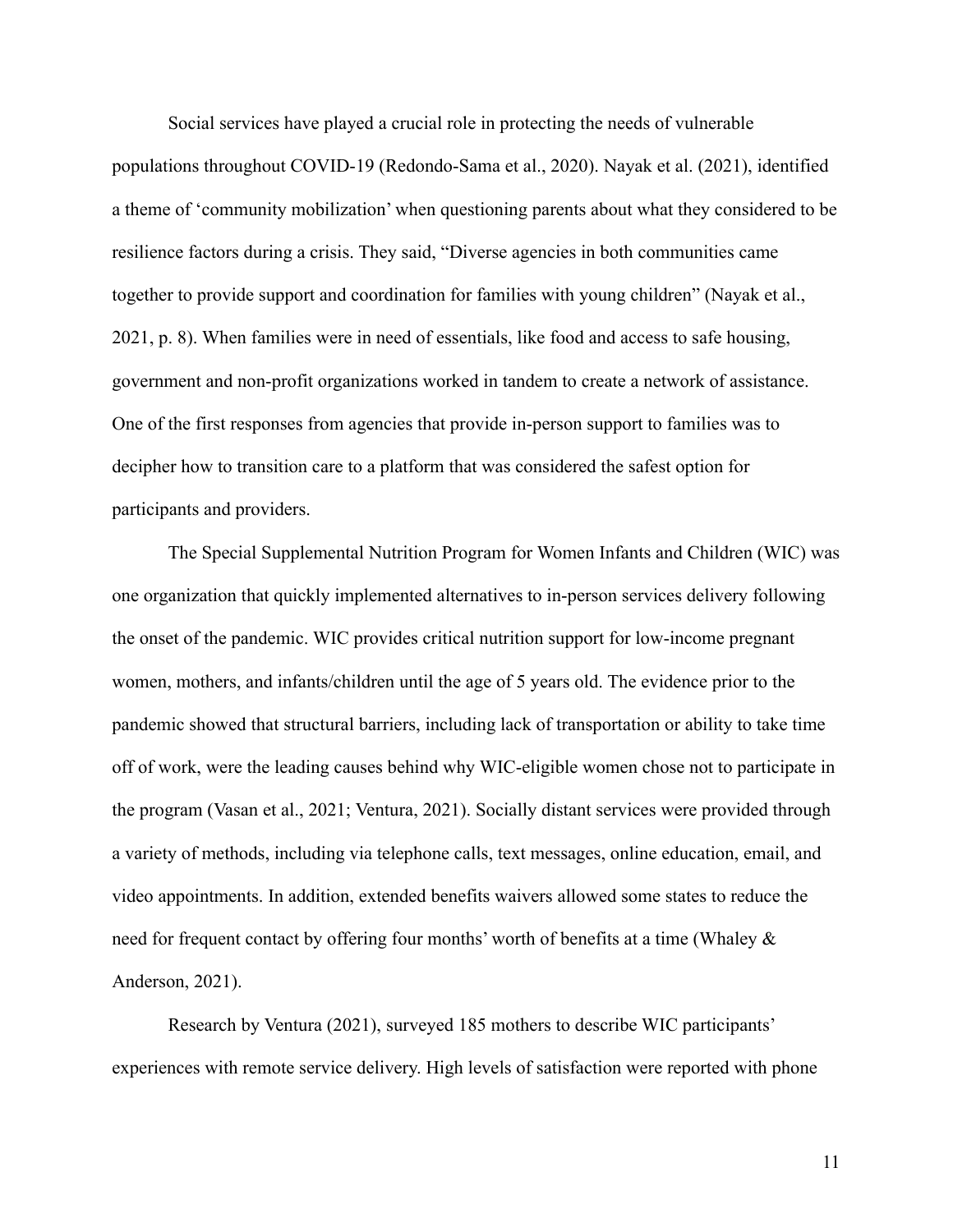Social services have played a crucial role in protecting the needs of vulnerable populations throughout COVID-19 (Redondo-Sama et al., 2020). Nayak et al. (2021), identified a theme of 'community mobilization' when questioning parents about what they considered to be resilience factors during a crisis. They said, "Diverse agencies in both communities came together to provide support and coordination for families with young children" (Nayak et al., 2021, p. 8). When families were in need of essentials, like food and access to safe housing, government and non-profit organizations worked in tandem to create a network of assistance. One of the first responses from agencies that provide in-person support to families was to decipher how to transition care to a platform that was considered the safest option for participants and providers.

The Special Supplemental Nutrition Program for Women Infants and Children (WIC) was one organization that quickly implemented alternatives to in-person services delivery following the onset of the pandemic. WIC provides critical nutrition support for low-income pregnant women, mothers, and infants/children until the age of 5 years old. The evidence prior to the pandemic showed that structural barriers, including lack of transportation or ability to take time off of work, were the leading causes behind why WIC-eligible women chose not to participate in the program (Vasan et al., 2021; Ventura, 2021). Socially distant services were provided through a variety of methods, including via telephone calls, text messages, online education, email, and video appointments. In addition, extended benefits waivers allowed some states to reduce the need for frequent contact by offering four months' worth of benefits at a time (Whaley & Anderson, 2021).

Research by Ventura (2021), surveyed 185 mothers to describe WIC participants' experiences with remote service delivery. High levels of satisfaction were reported with phone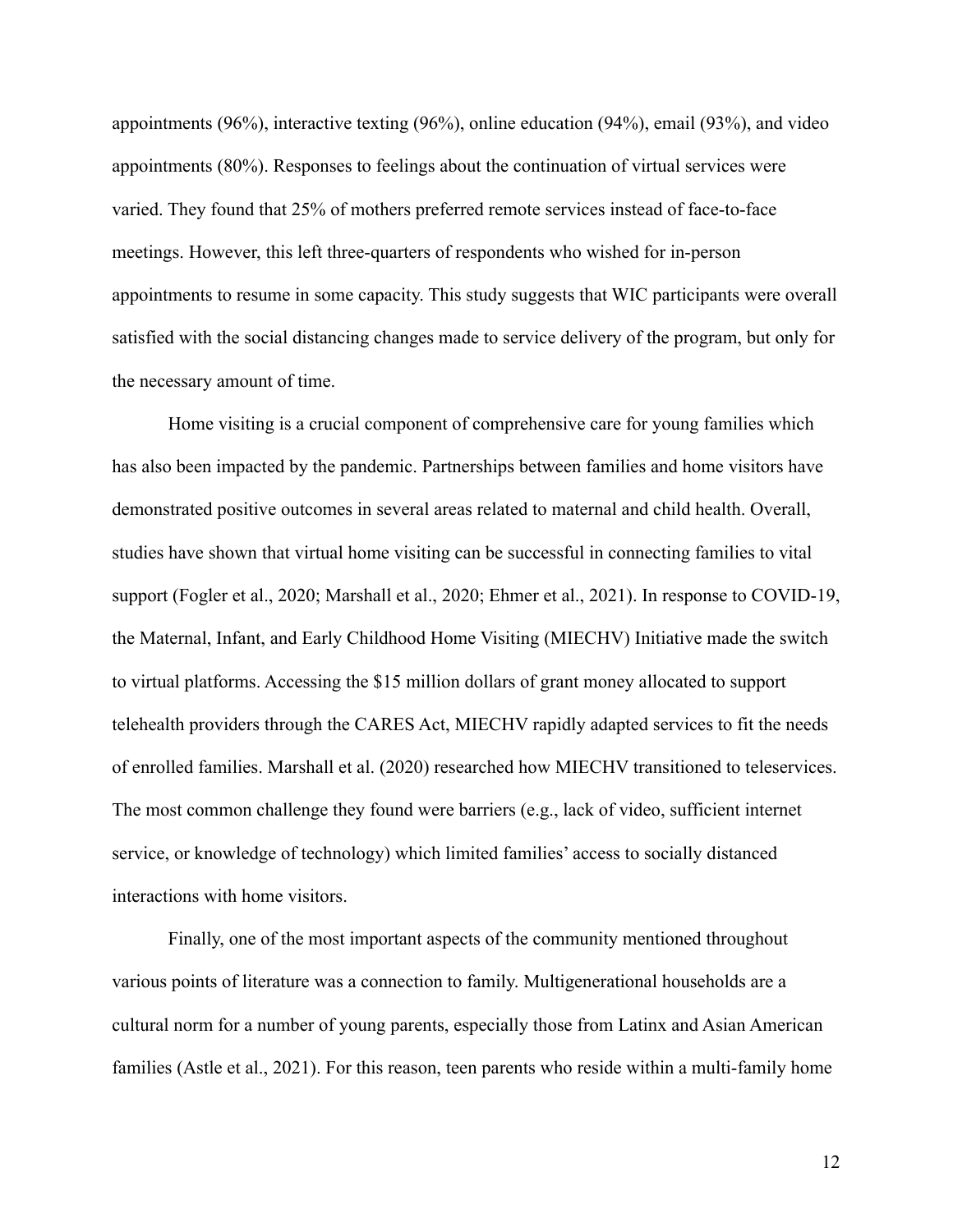appointments (96%), interactive texting (96%), online education (94%), email (93%), and video appointments (80%). Responses to feelings about the continuation of virtual services were varied. They found that 25% of mothers preferred remote services instead of face-to-face meetings. However, this left three-quarters of respondents who wished for in-person appointments to resume in some capacity. This study suggests that WIC participants were overall satisfied with the social distancing changes made to service delivery of the program, but only for the necessary amount of time.

Home visiting is a crucial component of comprehensive care for young families which has also been impacted by the pandemic. Partnerships between families and home visitors have demonstrated positive outcomes in several areas related to maternal and child health. Overall, studies have shown that virtual home visiting can be successful in connecting families to vital support (Fogler et al., 2020; Marshall et al., 2020; Ehmer et al., 2021). In response to COVID-19, the Maternal, Infant, and Early Childhood Home Visiting (MIECHV) Initiative made the switch to virtual platforms. Accessing the \$15 million dollars of grant money allocated to support telehealth providers through the CARES Act, MIECHV rapidly adapted services to fit the needs of enrolled families. Marshall et al. (2020) researched how MIECHV transitioned to teleservices. The most common challenge they found were barriers (e.g., lack of video, sufficient internet service, or knowledge of technology) which limited families' access to socially distanced interactions with home visitors.

Finally, one of the most important aspects of the community mentioned throughout various points of literature was a connection to family. Multigenerational households are a cultural norm for a number of young parents, especially those from Latinx and Asian American families (Astle et al., 2021). For this reason, teen parents who reside within a multi-family home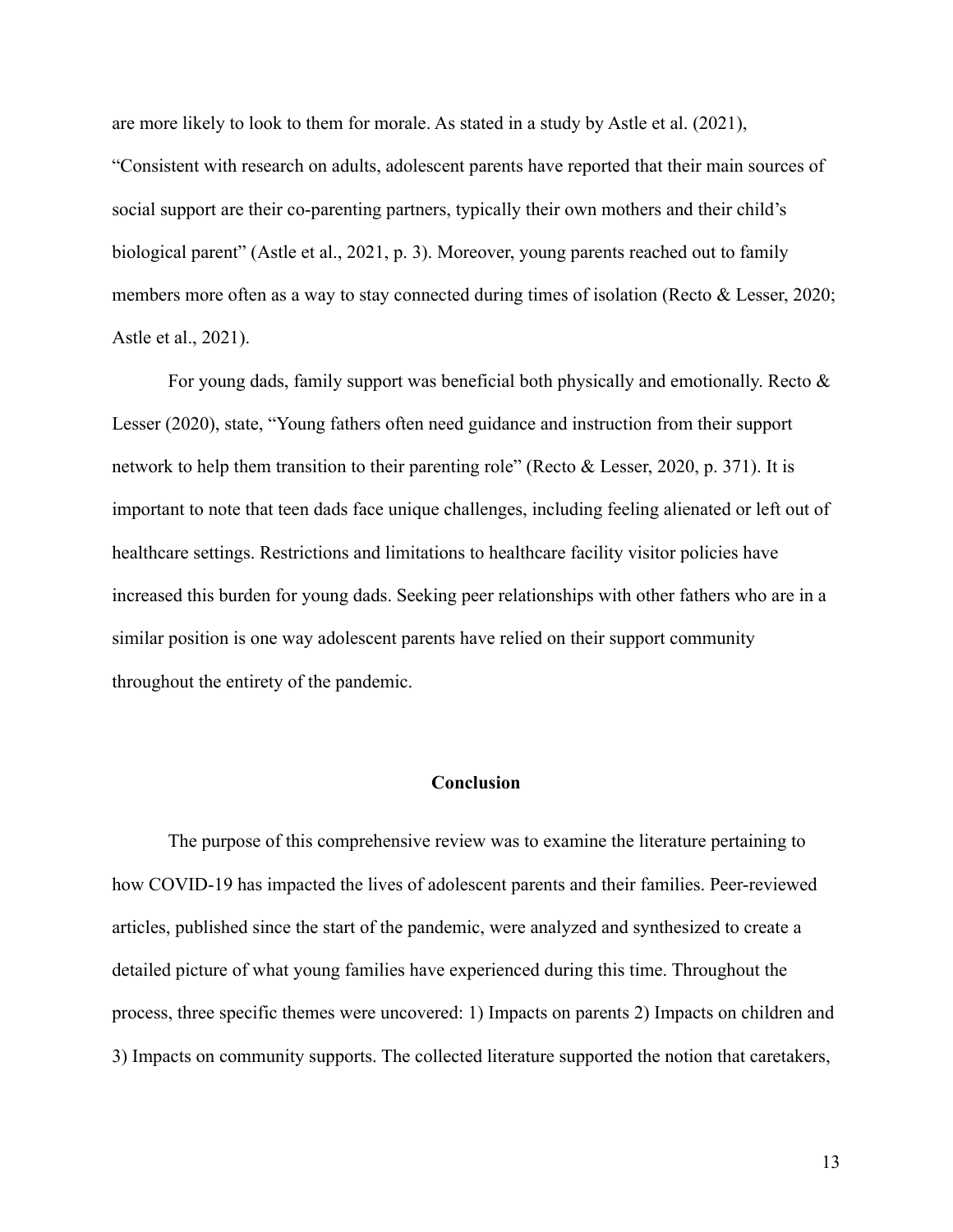are more likely to look to them for morale. As stated in a study by Astle et al. (2021), "Consistent with research on adults, adolescent parents have reported that their main sources of social support are their co-parenting partners, typically their own mothers and their child's biological parent" (Astle et al., 2021, p. 3). Moreover, young parents reached out to family members more often as a way to stay connected during times of isolation (Recto & Lesser, 2020; Astle et al., 2021).

For young dads, family support was beneficial both physically and emotionally. Recto  $\&$ Lesser (2020), state, "Young fathers often need guidance and instruction from their support network to help them transition to their parenting role" (Recto & Lesser, 2020, p. 371). It is important to note that teen dads face unique challenges, including feeling alienated or left out of healthcare settings. Restrictions and limitations to healthcare facility visitor policies have increased this burden for young dads. Seeking peer relationships with other fathers who are in a similar position is one way adolescent parents have relied on their support community throughout the entirety of the pandemic.

## **Conclusion**

The purpose of this comprehensive review was to examine the literature pertaining to how COVID-19 has impacted the lives of adolescent parents and their families. Peer-reviewed articles, published since the start of the pandemic, were analyzed and synthesized to create a detailed picture of what young families have experienced during this time. Throughout the process, three specific themes were uncovered: 1) Impacts on parents 2) Impacts on children and 3) Impacts on community supports. The collected literature supported the notion that caretakers,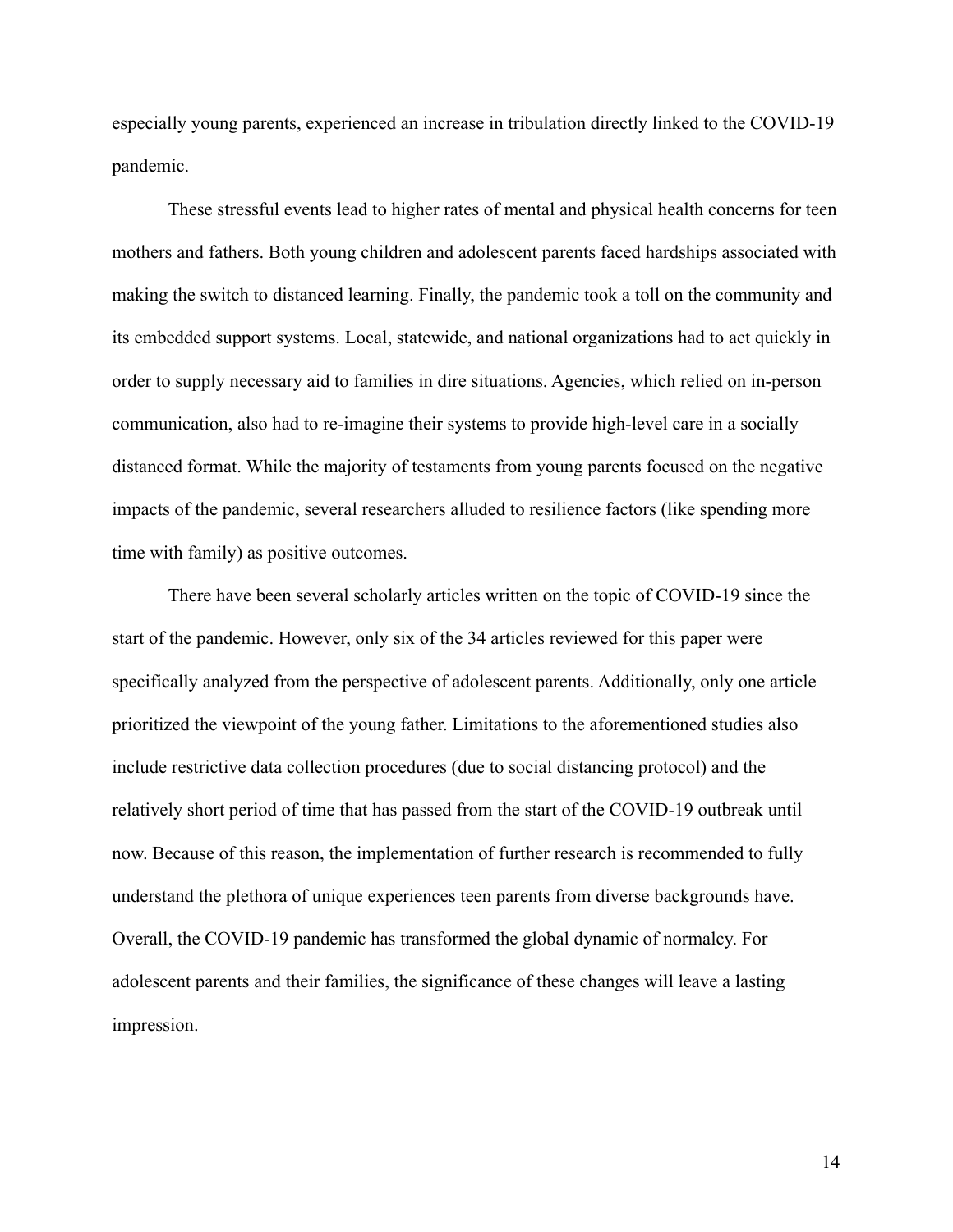especially young parents, experienced an increase in tribulation directly linked to the COVID-19 pandemic.

These stressful events lead to higher rates of mental and physical health concerns for teen mothers and fathers. Both young children and adolescent parents faced hardships associated with making the switch to distanced learning. Finally, the pandemic took a toll on the community and its embedded support systems. Local, statewide, and national organizations had to act quickly in order to supply necessary aid to families in dire situations. Agencies, which relied on in-person communication, also had to re-imagine their systems to provide high-level care in a socially distanced format. While the majority of testaments from young parents focused on the negative impacts of the pandemic, several researchers alluded to resilience factors (like spending more time with family) as positive outcomes.

There have been several scholarly articles written on the topic of COVID-19 since the start of the pandemic. However, only six of the 34 articles reviewed for this paper were specifically analyzed from the perspective of adolescent parents. Additionally, only one article prioritized the viewpoint of the young father. Limitations to the aforementioned studies also include restrictive data collection procedures (due to social distancing protocol) and the relatively short period of time that has passed from the start of the COVID-19 outbreak until now. Because of this reason, the implementation of further research is recommended to fully understand the plethora of unique experiences teen parents from diverse backgrounds have. Overall, the COVID-19 pandemic has transformed the global dynamic of normalcy. For adolescent parents and their families, the significance of these changes will leave a lasting impression.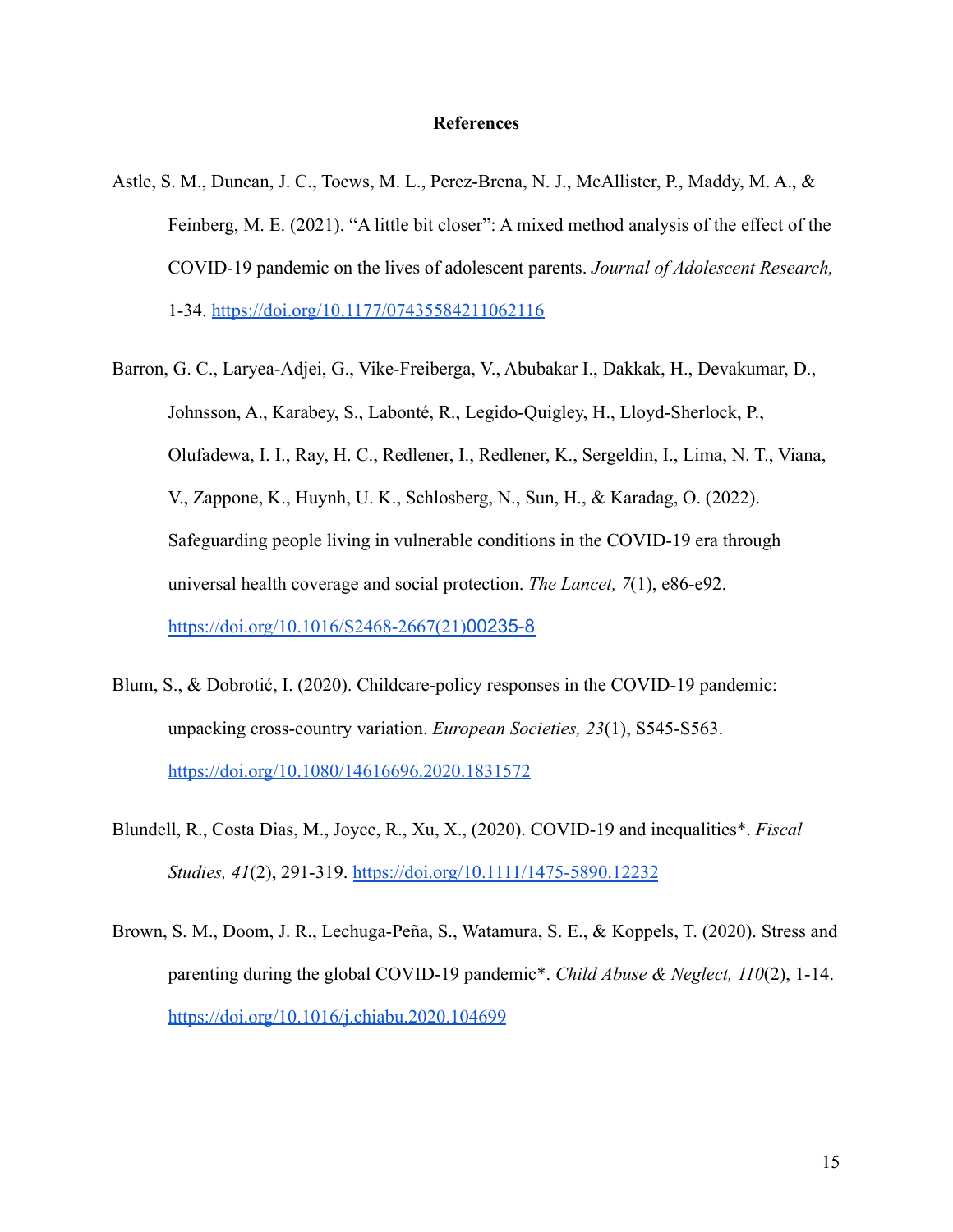#### **References**

- Astle, S. M., Duncan, J. C., Toews, M. L., Perez-Brena, N. J., McAllister, P., Maddy, M. A., & Feinberg, M. E. (2021). "A little bit closer": A mixed method analysis of the effect of the COVID-19 pandemic on the lives of adolescent parents. *Journal of Adolescent Research,* 1-34. <https://doi.org/10.1177/07435584211062116>
- Barron, G. C., Laryea-Adjei, G., Vike-Freiberga, V., Abubakar I., Dakkak, H., Devakumar, D., Johnsson, A., Karabey, S., Labonté, R., Legido-Quigley, H., Lloyd-Sherlock, P., Olufadewa, I. I., Ray, H. C., Redlener, I., Redlener, K., Sergeldin, I., Lima, N. T., Viana, V., Zappone, K., Huynh, U. K., Schlosberg, N., Sun, H., & Karadag, O. (2022). Safeguarding people living in vulnerable conditions in the COVID-19 era through universal health coverage and social protection. *The Lancet, 7*(1), e86-e92. [https://doi.org/10.1016/S2468-2667\(21\)](https://doi.org/10.1016/S2468-2667(21)00235-8)00235-8
- Blum, S., & Dobrotić, I. (2020). Childcare-policy responses in the COVID-19 pandemic: unpacking cross-country variation. *European Societies, 23*(1), S545-S563. <https://doi.org/10.1080/14616696.2020.1831572>
- Blundell, R., Costa Dias, M., Joyce, R., Xu, X., (2020). COVID-19 and inequalities\*. *Fiscal Studies, 41*(2), 291-319. <https://doi.org/10.1111/1475-5890.12232>
- Brown, S. M., Doom, J. R., Lechuga-Peña, S., Watamura, S. E., & Koppels, T. (2020). Stress and parenting during the global COVID-19 pandemic\*. *Child Abuse & Neglect, 110*(2), 1-14. <https://doi.org/10.1016/j.chiabu.2020.104699>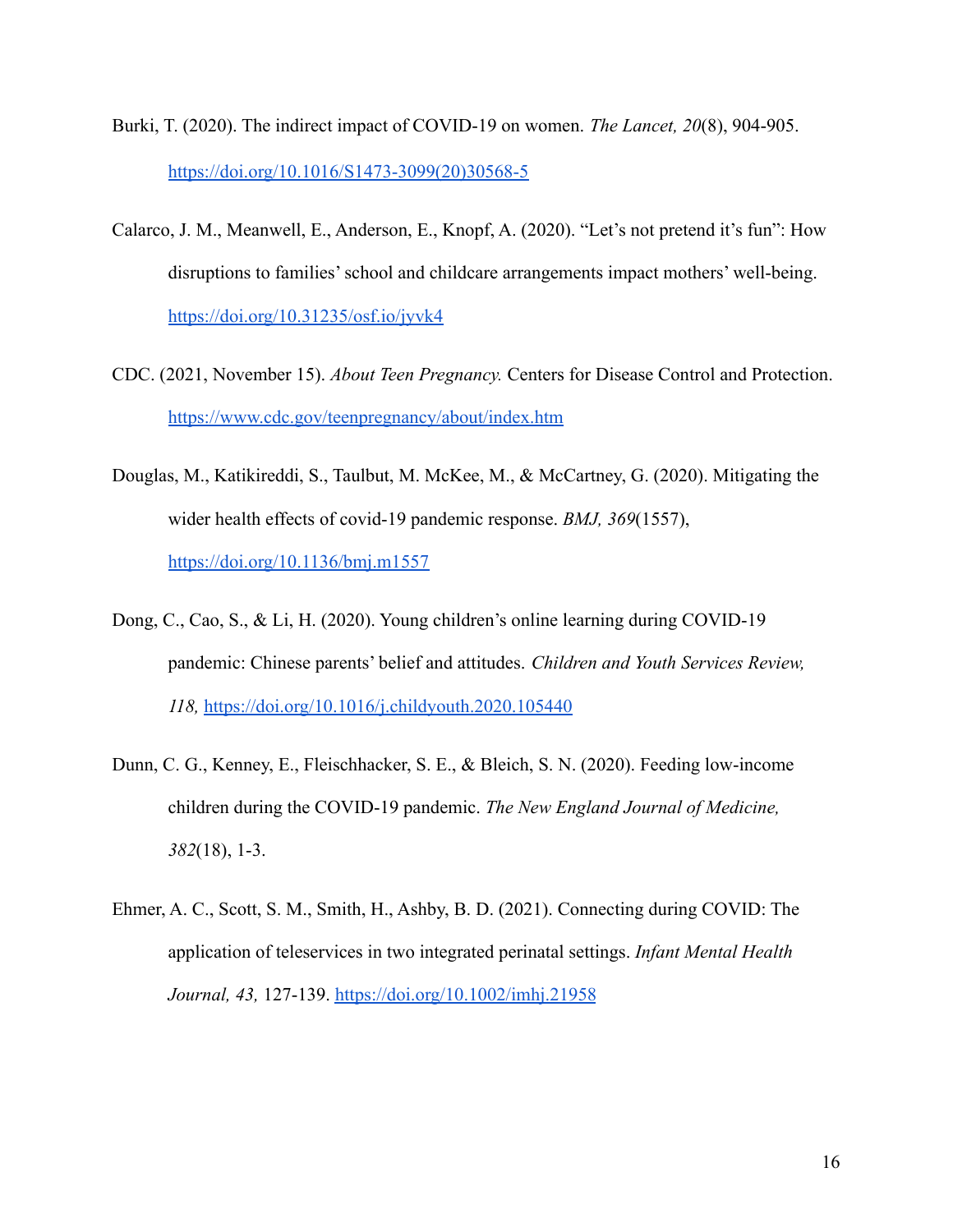- Burki, T. (2020). The indirect impact of COVID-19 on women. *The Lancet, 20*(8), 904-905. [https://doi.org/10.1016/S1473-3099\(20\)30568-5](https://doi.org/10.1016/S1473-3099(20)30568-5)
- Calarco, J. M., Meanwell, E., Anderson, E., Knopf, A. (2020). "Let's not pretend it's fun": How disruptions to families' school and childcare arrangements impact mothers' well-being. <https://doi.org/10.31235/osf.io/jyvk4>
- CDC. (2021, November 15). *About Teen Pregnancy.* Centers for Disease Control and Protection. <https://www.cdc.gov/teenpregnancy/about/index.htm>
- Douglas, M., Katikireddi, S., Taulbut, M. McKee, M., & McCartney, G. (2020). Mitigating the wider health effects of covid-19 pandemic response. *BMJ, 369*(1557), <https://doi.org/10.1136/bmj.m1557>
- Dong, C., Cao, S., & Li, H. (2020). Young children's online learning during COVID-19 pandemic: Chinese parents' belief and attitudes. *Children and Youth Services Review, 118,* <https://doi.org/10.1016/j.childyouth.2020.105440>
- Dunn, C. G., Kenney, E., Fleischhacker, S. E., & Bleich, S. N. (2020). Feeding low-income children during the COVID-19 pandemic. *The New England Journal of Medicine, 382*(18), 1-3.
- Ehmer, A. C., Scott, S. M., Smith, H., Ashby, B. D. (2021). Connecting during COVID: The application of teleservices in two integrated perinatal settings. *Infant Mental Health Journal, 43,* 127-139. <https://doi.org/10.1002/imhj.21958>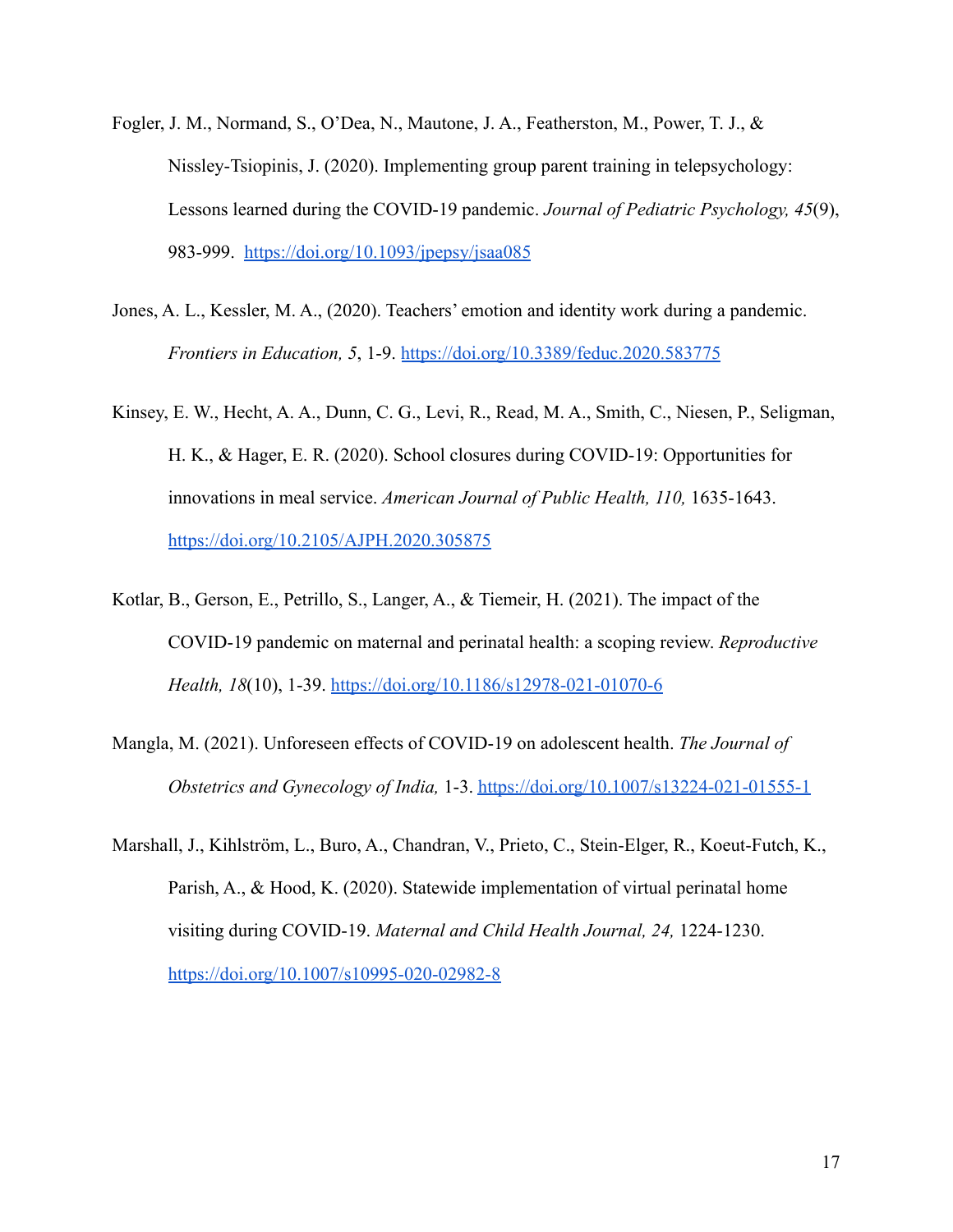- Fogler, J. M., Normand, S., O'Dea, N., Mautone, J. A., Featherston, M., Power, T. J., & Nissley-Tsiopinis, J. (2020). Implementing group parent training in telepsychology: Lessons learned during the COVID-19 pandemic. *Journal of Pediatric Psychology, 45*(9), 983-999. <https://doi.org/10.1093/jpepsy/jsaa085>
- Jones, A. L., Kessler, M. A., (2020). Teachers' emotion and identity work during a pandemic. *Frontiers in Education, 5*, 1-9. <https://doi.org/10.3389/feduc.2020.583775>
- Kinsey, E. W., Hecht, A. A., Dunn, C. G., Levi, R., Read, M. A., Smith, C., Niesen, P., Seligman, H. K., & Hager, E. R. (2020). School closures during COVID-19: Opportunities for innovations in meal service. *American Journal of Public Health, 110,* 1635-1643. [https://doi.org/10.2105/AJPH.2020.305875](https://ajph.aphapublications.org/doi/abs/10.2105/AJPH.2020.305875)
- Kotlar, B., Gerson, E., Petrillo, S., Langer, A., & Tiemeir, H. (2021). The impact of the COVID-19 pandemic on maternal and perinatal health: a scoping review. *Reproductive Health, 18*(10), 1-39. <https://doi.org/10.1186/s12978-021-01070-6>
- Mangla, M. (2021). Unforeseen effects of COVID-19 on adolescent health. *The Journal of Obstetrics and Gynecology of India,* 1-3. <https://doi.org/10.1007/s13224-021-01555-1>
- Marshall, J., Kihlström, L., Buro, A., Chandran, V., Prieto, C., Stein-Elger, R., Koeut-Futch, K., Parish, A., & Hood, K. (2020). Statewide implementation of virtual perinatal home visiting during COVID-19. *Maternal and Child Health Journal, 24,* 1224-1230. <https://doi.org/10.1007/s10995-020-02982-8>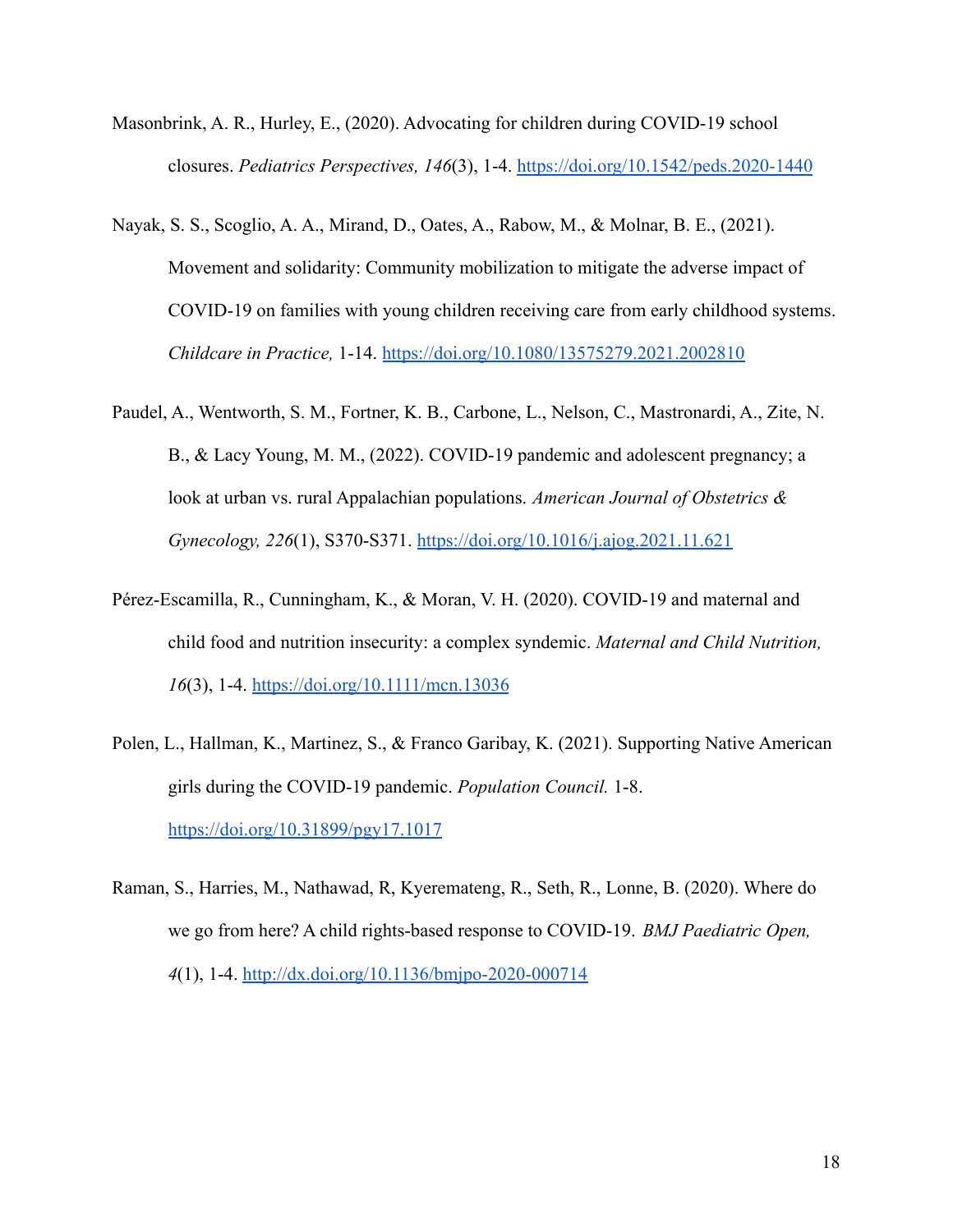- Masonbrink, A. R., Hurley, E., (2020). Advocating for children during COVID-19 school closures. *Pediatrics Perspectives, 146*(3), 1-4. <https://doi.org/10.1542/peds.2020-1440>
- Nayak, S. S., Scoglio, A. A., Mirand, D., Oates, A., Rabow, M., & Molnar, B. E., (2021). Movement and solidarity: Community mobilization to mitigate the adverse impact of COVID-19 on families with young children receiving care from early childhood systems. *Childcare in Practice,* 1-14. <https://doi.org/10.1080/13575279.2021.2002810>
- Paudel, A., Wentworth, S. M., Fortner, K. B., Carbone, L., Nelson, C., Mastronardi, A., Zite, N. B., & Lacy Young, M. M., (2022). COVID-19 pandemic and adolescent pregnancy; a look at urban vs. rural Appalachian populations. *American Journal of Obstetrics & Gynecology, 226*(1), S370-S371. <https://doi.org/10.1016/j.ajog.2021.11.621>
- Pérez-Escamilla, R., Cunningham, K., & Moran, V. H. (2020). COVID-19 and maternal and child food and nutrition insecurity: a complex syndemic. *Maternal and Child Nutrition, 16*(3), 1-4. <https://doi.org/10.1111/mcn.13036>
- Polen, L., Hallman, K., Martinez, S., & Franco Garibay, K. (2021). Supporting Native American girls during the COVID-19 pandemic. *Population Council.* 1-8. <https://doi.org/10.31899/pgy17.1017>
- Raman, S., Harries, M., Nathawad, R, Kyeremateng, R., Seth, R., Lonne, B. (2020). Where do we go from here? A child rights-based response to COVID-19. *BMJ Paediatric Open, 4*(1), 1-4. <http://dx.doi.org/10.1136/bmjpo-2020-000714>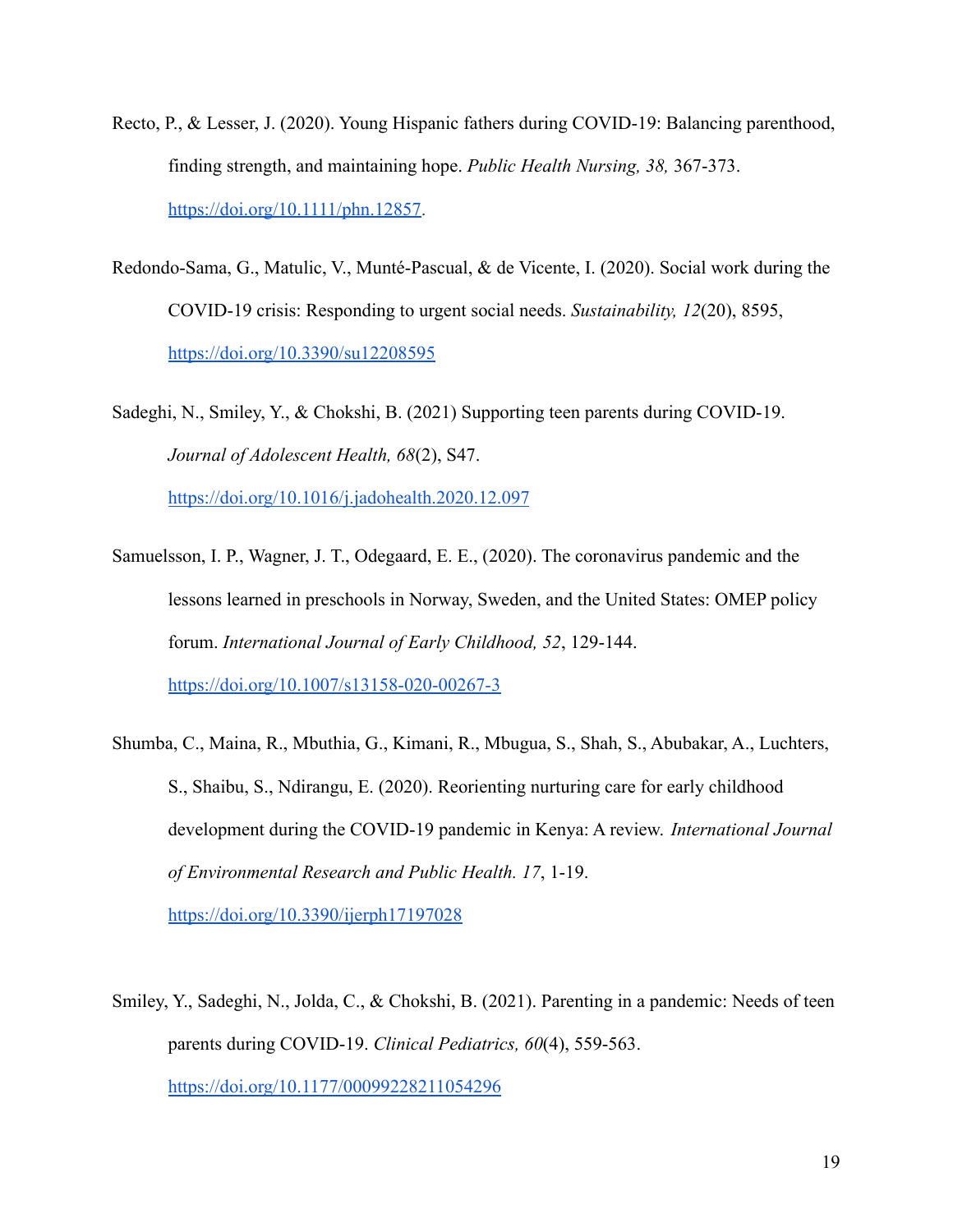- Recto, P., & Lesser, J. (2020). Young Hispanic fathers during COVID-19: Balancing parenthood, finding strength, and maintaining hope. *Public Health Nursing, 38,* 367-373. [https://doi.org/10.1111/phn.12857.](https://doi.org/10.1111/phn.12857)
- Redondo-Sama, G., Matulic, V., Munté-Pascual, & de Vicente, I. (2020). Social work during the COVID-19 crisis: Responding to urgent social needs. *Sustainability, 12*(20), 8595, <https://doi.org/10.3390/su12208595>
- Sadeghi, N., Smiley, Y., & Chokshi, B. (2021) Supporting teen parents during COVID-19. *Journal of Adolescent Health, 68*(2), S47. <https://doi.org/10.1016/j.jadohealth.2020.12.097>
- Samuelsson, I. P., Wagner, J. T., Odegaard, E. E., (2020). The coronavirus pandemic and the lessons learned in preschools in Norway, Sweden, and the United States: OMEP policy forum. *International Journal of Early Childhood, 52*, 129-144. <https://doi.org/10.1007/s13158-020-00267-3>
- Shumba, C., Maina, R., Mbuthia, G., Kimani, R., Mbugua, S., Shah, S., Abubakar, A., Luchters, S., Shaibu, S., Ndirangu, E. (2020). Reorienting nurturing care for early childhood development during the COVID-19 pandemic in Kenya: A review. *International Journal of Environmental Research and Public Health. 17*, 1-19. <https://doi.org/10.3390/ijerph17197028>
- Smiley, Y., Sadeghi, N., Jolda, C., & Chokshi, B. (2021). Parenting in a pandemic: Needs of teen parents during COVID-19. *Clinical Pediatrics, 60*(4), 559-563. [https://doi.org/10.1177/00099228211054296](https://doi.org/10.1177%2F00099228211054296)